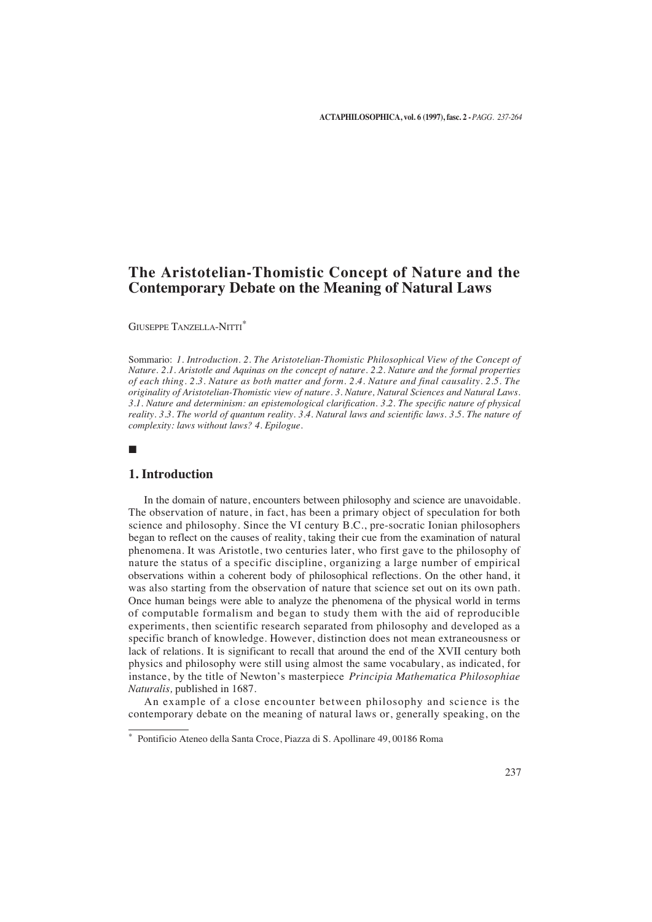# **The Aristotelian-Thomistic Concept of Nature and the Contemporary Debate on the Meaning of Natural Laws**

GIUSEPPE TANZELLA-NITTI\*

Sommario: *1. Introduction. 2. The Aristotelian-Thomistic Philosophical View of the Concept of Nature. 2.1. Aristotle and Aquinas on the concept of nature. 2.2. Nature and the formal properties of each thing. 2.3. Nature as both matter and form. 2.4. Nature and final causality. 2.5. The originality of Aristotelian-Thomistic view of nature. 3. Nature, Natural Sciences and Natural Laws. 3.1. Nature and determinism: an epistemological clarification. 3.2. The specific nature of physical reality. 3.3. The world of quantum reality. 3.4. Natural laws and scientific laws. 3.5. The nature of complexity: laws without laws? 4. Epilogue.*

■

## **1. Introduction**

In the domain of nature, encounters between philosophy and science are unavoidable. The observation of nature, in fact, has been a primary object of speculation for both science and philosophy. Since the VI century B.C., pre-socratic Ionian philosophers began to reflect on the causes of reality, taking their cue from the examination of natural phenomena. It was Aristotle, two centuries later, who first gave to the philosophy of nature the status of a specific discipline, organizing a large number of empirical observations within a coherent body of philosophical reflections. On the other hand, it was also starting from the observation of nature that science set out on its own path. Once human beings were able to analyze the phenomena of the physical world in terms of computable formalism and began to study them with the aid of reproducible experiments, then scientific research separated from philosophy and developed as a specific branch of knowledge. However, distinction does not mean extraneousness or lack of relations. It is significant to recall that around the end of the XVII century both physics and philosophy were still using almost the same vocabulary, as indicated, for instance, by the title of Newton's masterpiece *Principia Mathematica Philosophiae Naturalis,* published in 1687.

An example of a close encounter between philosophy and science is the contemporary debate on the meaning of natural laws or, generally speaking, on the

<sup>\*</sup> Pontificio Ateneo della Santa Croce, Piazza di S. Apollinare 49, 00186 Roma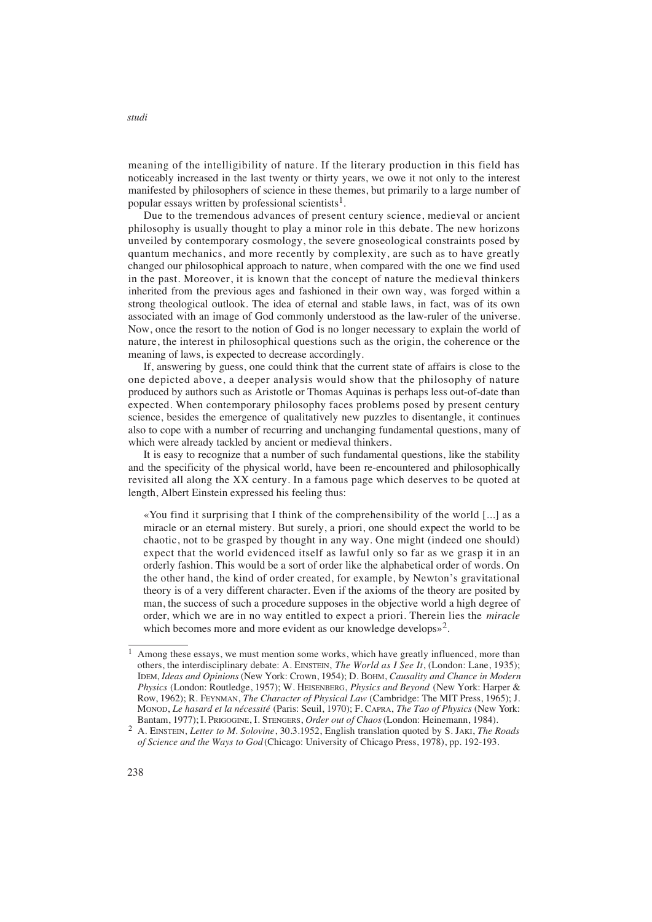meaning of the intelligibility of nature. If the literary production in this field has noticeably increased in the last twenty or thirty years, we owe it not only to the interest manifested by philosophers of science in these themes, but primarily to a large number of popular essays written by professional scientists<sup>1</sup>.

Due to the tremendous advances of present century science, medieval or ancient philosophy is usually thought to play a minor role in this debate. The new horizons unveiled by contemporary cosmology, the severe gnoseological constraints posed by quantum mechanics, and more recently by complexity, are such as to have greatly changed our philosophical approach to nature, when compared with the one we find used in the past. Moreover, it is known that the concept of nature the medieval thinkers inherited from the previous ages and fashioned in their own way, was forged within a strong theological outlook. The idea of eternal and stable laws, in fact, was of its own associated with an image of God commonly understood as the law-ruler of the universe. Now, once the resort to the notion of God is no longer necessary to explain the world of nature, the interest in philosophical questions such as the origin, the coherence or the meaning of laws, is expected to decrease accordingly.

If, answering by guess, one could think that the current state of affairs is close to the one depicted above, a deeper analysis would show that the philosophy of nature produced by authors such as Aristotle or Thomas Aquinas is perhaps less out-of-date than expected. When contemporary philosophy faces problems posed by present century science, besides the emergence of qualitatively new puzzles to disentangle, it continues also to cope with a number of recurring and unchanging fundamental questions, many of which were already tackled by ancient or medieval thinkers.

It is easy to recognize that a number of such fundamental questions, like the stability and the specificity of the physical world, have been re-encountered and philosophically revisited all along the XX century. In a famous page which deserves to be quoted at length, Albert Einstein expressed his feeling thus:

« You find it surprising that I think of the comprehensibility of the world [...] as a miracle or an eternal mistery. But surely, a priori, one should expect the world to be chaotic, not to be grasped by thought in any way. One might (indeed one should) expect that the world evidenced itself as lawful only so far as we grasp it in an orderly fashion. This would be a sort of order like the alphabetical order of words. On the other hand, the kind of order created, for example, by Newton's gravitational theory is of a very different character. Even if the axioms of the theory are posited by man, the success of such a procedure supposes in the objective world a high degree of order, which we are in no way entitled to expect a priori. Therein lies the *miracle* which becomes more and more evident as our knowledge develops»<sup>2</sup>.

 $1$  Among these essays, we must mention some works, which have greatly influenced, more than others, the interdisciplinary debate: A. EINSTEIN, *The World as I See It*, (London: Lane, 1935); IDEM, *Ideas and Opinions* (New York: Crown, 1954); D. BOHM, *Causality and Chance in Modern Physics* (London: Routledge, 1957); W. HEISENBERG, *Physics and Beyond* (New York: Harper & Row, 1962); R. FEYNMAN, *The Character of Physical Law* (Cambridge: The MIT Press, 1965); J. MONOD, *Le hasard et la nécessité* (Paris: Seuil, 1970); F. CAPRA, *The Tao of Physics* (New York: Bantam, 1977); I. PRIGOGINE, I. STENGERS, Order out of Chaos (London: Heinemann, 1984).

<sup>2</sup> A. EINSTEIN, *Letter to M. Solovine*, 30.3.1952, English translation quoted by S. JAKI, *The Roads of Science and the Ways to God* (Chicago: University of Chicago Press, 1978), pp. 192-193.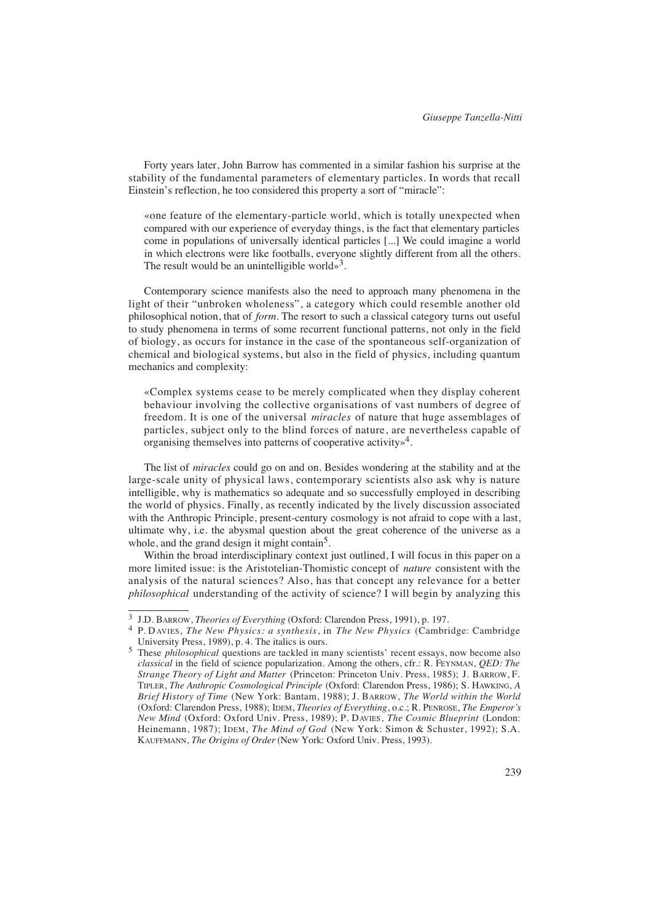Forty years later, John Barrow has commented in a similar fashion his surprise at the stability of the fundamental parameters of elementary particles. In words that recall Einstein's reflection, he too considered this property a sort of "miracle":

«one feature of the elementary-particle world, which is totally unexpected when compared with our experience of everyday things, is the fact that elementary particles come in populations of universally identical particles [...] We could imagine a world in which electrons were like footballs, everyone slightly different from all the others. The result would be an unintelligible world»<sup>3</sup>.

Contemporary science manifests also the need to approach many phenomena in the light of their "unbroken wholeness", a category which could resemble another old philosophical notion, that of *form*. The resort to such a classical category turns out useful to study phenomena in terms of some recurrent functional patterns, not only in the field of biology, as occurs for instance in the case of the spontaneous self-organization of chemical and biological systems, but also in the field of physics, including quantum mechanics and complexity:

«Complex systems cease to be merely complicated when they display coherent behaviour involving the collective organisations of vast numbers of degree of freedom. It is one of the universal *miracles* of nature that huge assemblages of particles, subject only to the blind forces of nature, are nevertheless capable of organising themselves into patterns of cooperative activity»4.

The list of *miracles* could go on and on. Besides wondering at the stability and at the large-scale unity of physical laws, contemporary scientists also ask why is nature intelligible, why is mathematics so adequate and so successfully employed in describing the world of physics. Finally, as recently indicated by the lively discussion associated with the Anthropic Principle, present-century cosmology is not afraid to cope with a last, ultimate why, i.e. the abysmal question about the great coherence of the universe as a whole, and the grand design it might contain<sup>5</sup>.

Within the broad interdisciplinary context just outlined, I will focus in this paper on a more limited issue: is the Aristotelian-Thomistic concept of *nature* consistent with the analysis of the natural sciences? Also, has that concept any relevance for a better *philosophical* understanding of the activity of science? I will begin by analyzing this

<sup>3</sup> J.D. BARROW, *Theories of Everything* (Oxford: Clarendon Press, 1991), p. 197.

<sup>&</sup>lt;sup>4</sup> P. DAVIES, *The New Physics: a synthesis*, in *The New Physics* (Cambridge: Cambridge University Press, 1989), p. 4. The italics is ours.

<sup>5</sup> These *philosophical* questions are tackled in many scientists' recent essays, now become also *classical* in the field of science popularization. Among the others, cfr.: R. FEYNMAN, *QED: The Strange Theory of Light and Matter* (Princeton: Princeton Univ. Press, 1985); J. BARROW, F. TIPLER, *The Anthropic Cosmological Principle* (Oxford: Clarendon Press, 1986); S. HAWKING, *A Brief History of Time* (New York: Bantam, 1988); J. BARROW, *The World within the World* (Oxford: Clarendon Press, 1988); IDEM, *Theories of Everything*, o.c.; R. PENROSE, *The Emperor's New Mind* (Oxford: Oxford Univ. Press, 1989); P. DAVIES, *The Cosmic Blueprint* (London: Heinemann, 1987); IDEM, *The Mind of God* (New York: Simon & Schuster, 1992); S.A. KAUFFMANN, *The Origins of Order* (New York: Oxford Univ. Press, 1993).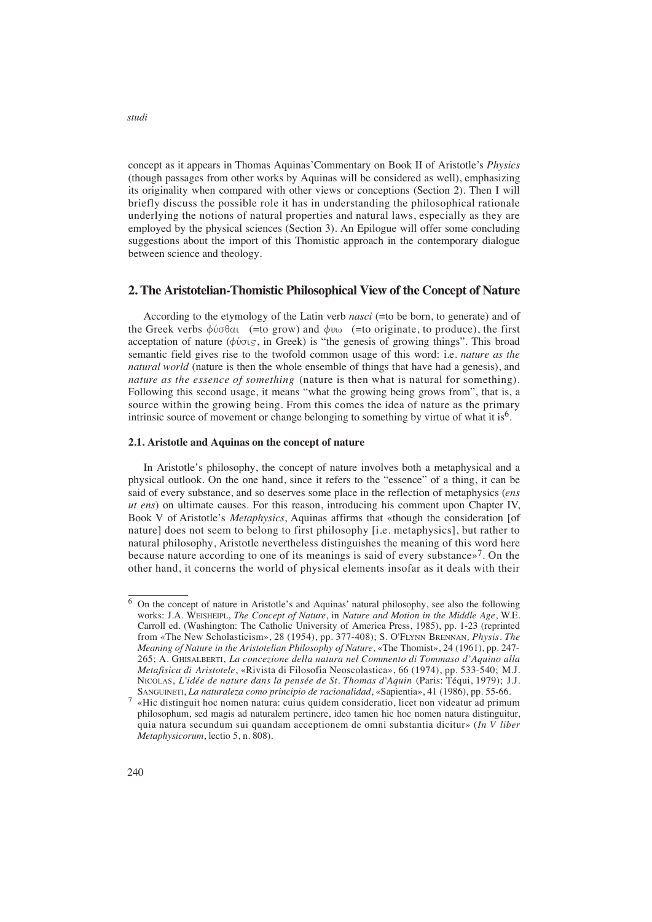concept as it appears in Thomas Aquinas'Commentary on Book II of Aristotle's *Physics* (though passages from other works by Aquinas will be considered as well), emphasizing its originality when compared with other views or conceptions (Section 2). Then I will briefly discuss the possible role it has in understanding the philosophical rationale underlying the notions of natural properties and natural laws, especially as they are employed by the physical sciences (Section 3). An Epilogue will offer some concluding suggestions about the import of this Thomistic approach in the contemporary dialogue between science and theology.

## **2. The Aristotelian-Thomistic Philosophical View of the Concept of Nature**

According to the etymology of the Latin verb *nasci* (=to be born, to generate) and of the Greek verbs  $\phi \dot{\phi}$  (= to grow) and  $\phi \dot{\phi}$  (= to originate, to produce), the first acceptation of nature ( $\phi \dot{\varphi}$ <sub>S</sub>, in Greek) is "the genesis of growing things". This broad semantic field gives rise to the twofold common usage of this word: i.e. *nature as the natural world* (nature is then the whole ensemble of things that have had a genesis), and *nature as the essence of something* (nature is then what is natural for something). Following this second usage, it means "what the growing being grows from", that is, a source within the growing being. From this comes the idea of nature as the primary intrinsic source of movement or change belonging to something by virtue of what it is<sup>6</sup>.

#### **2.1. Aristotle and Aquinas on the concept of nature**

In Aristotle's philosophy, the concept of nature involves both a metaphysical and a physical outlook. On the one hand, since it refers to the "essence" of a thing, it can be said of every substance, and so deserves some place in the reflection of metaphysics (*ens ut ens*) on ultimate causes. For this reason, introducing his comment upon Chapter IV, Book V of Aristotle's *Metaphysics*, Aquinas affirms that «though the consideration [of nature] does not seem to belong to first philosophy [i.e. metaphysics], but rather to natural philosophy, Aristotle nevertheless distinguishes the meaning of this word here because nature according to one of its meanings is said of every substance»7. On the other hand, it concerns the world of physical elements insofar as it deals with their

<sup>6</sup> On the concept of nature in Aristotle's and Aquinas' natural philosophy, see also the following works: J.A. WEISHEIPL, *The Concept of Nature*, in *Nature and Motion in the Middle Age*, W.E. Carroll ed. (Washington: The Catholic University of America Press, 1985), pp. 1-23 (reprinted from «The New Scholasticism», 28 (1954), pp. 377-408); S. O'FLYNN BRENNAN, Physis. The *Meaning of Nature in the Aristotelian Philosophy of Nature*, «The Thomist», 24 (1961), pp. 247- 265; A. GHISALBERTI, *La concezione della natura nel Commento di Tommaso d'Aquino alla Metafisica di Aristotele*, «Rivista di Filosofia Neoscolastica», 66 (1974), pp. 533-540; M.J. NICOLAS, L'idée de nature dans la pensée de St. Thomas d'Aquin (Paris: Téqui, 1979); J.J. SANGUINETI, *La naturaleza como principio de racionalidad*, «Sapientia», 41 (1986), pp. 55-66.

<sup>7</sup> «Hic distinguit hoc nomen natura: cuius quidem consideratio, licet non videatur ad primum philosophum, sed magis ad naturalem pertinere, ideo tamen hic hoc nomen natura distinguitur, quia natura secundum sui quandam acceptionem de omni substantia dicitur» (*In V liber Metaphysicorum*, lectio 5, n. 808).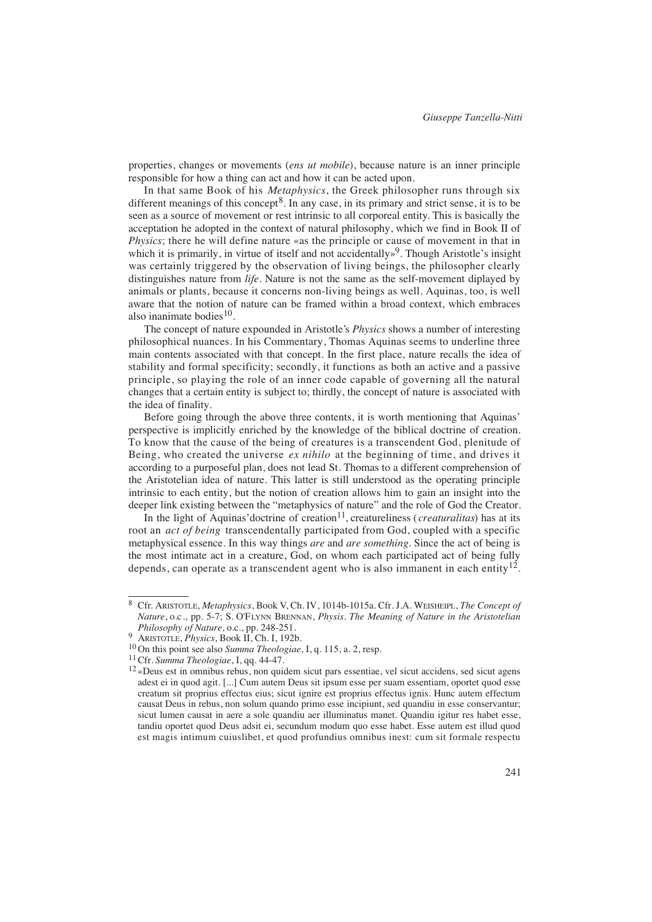properties, changes or movements (*ens ut mobile*), because nature is an inner principle responsible for how a thing can act and how it can be acted upon.

In that same Book of his *Metaphysics*, the Greek philosopher runs through six different meanings of this concept<sup>8</sup>. In any case, in its primary and strict sense, it is to be seen as a source of movement or rest intrinsic to all corporeal entity. This is basically the acceptation he adopted in the context of natural philosophy, which we find in Book II of *Physics*; there he will define nature «as the principle or cause of movement in that in which it is primarily, in virtue of itself and not accidentally»<sup>9</sup>. Though Aristotle's insight was certainly triggered by the observation of living beings, the philosopher clearly distinguishes nature from *life*. Nature is not the same as the self-movement diplayed by animals or plants, because it concerns non-living beings as well. Aquinas, too, is well aware that the notion of nature can be framed within a broad context, which embraces also inanimate bodies $10$ .

The concept of nature expounded in Aristotle's *Physics* shows a number of interesting philosophical nuances. In his Commentary, Thomas Aquinas seems to underline three main contents associated with that concept. In the first place, nature recalls the idea of stability and formal specificity; secondly, it functions as both an active and a passive principle, so playing the role of an inner code capable of governing all the natural changes that a certain entity is subject to; thirdly, the concept of nature is associated with the idea of finality.

Before going through the above three contents, it is worth mentioning that Aquinas' perspective is implicitly enriched by the knowledge of the biblical doctrine of creation. To know that the cause of the being of creatures is a transcendent God, plenitude of Being, who created the universe *ex nihilo* at the beginning of time, and drives it according to a purposeful plan, does not lead St. Thomas to a different comprehension of the Aristotelian idea of nature. This latter is still understood as the operating principle intrinsic to each entity, but the notion of creation allows him to gain an insight into the deeper link existing between the "metaphysics of nature" and the role of God the Creator.

In the light of Aquinas' doctrine of creation<sup>11</sup>, creatureliness (*creaturalitas*) has at its root an *act of being* transcendentally participated from God, coupled with a specific metaphysical essence. In this way things *are* and *are something*. Since the act of being is the most intimate act in a creature, God, on whom each participated act of being fully depends, can operate as a transcendent agent who is also immanent in each entity<sup>12</sup>.

<sup>8</sup> Cfr. ARISTOTLE, *Metaphysics*, Book V, Ch. IV, 1014b-1015a. Cfr. J.A. WEISHEIPL, *The Concept of Nature*, o.c*.*, pp. 5-7; S. O'FLYNN BRENNAN, *Physis. The Meaning of Nature in the Aristotelian Philosophy of Nature*, o.c., pp. 248-251.

<sup>9</sup> ARISTOTLE, *Physics*, Book II, Ch. I, 192b.

<sup>10</sup> On this point see also *Summa Theologiae*, I, q. 115, a. 2, resp.

<sup>11</sup>Cfr. *Summa Theologiae*, I, qq. 44-47.

<sup>12</sup> «Deus est in omnibus rebus, non quidem sicut pars essentiae, vel sicut accidens, sed sicut agens adest ei in quod agit. [...] Cum autem Deus sit ipsum esse per suam essentiam, oportet quod esse creatum sit proprius effectus eius; sicut ignire est proprius effectus ignis. Hunc autem effectum causat Deus in rebus, non solum quando primo esse incipiunt, sed quandiu in esse conservantur; sicut lumen causat in aere a sole quandiu aer illuminatus manet. Quandiu igitur res habet esse, tandiu oportet quod Deus adsit ei, secundum modum quo esse habet. Esse autem est illud quod est magis intimum cuiuslibet, et quod profundius omnibus inest: cum sit formale respectu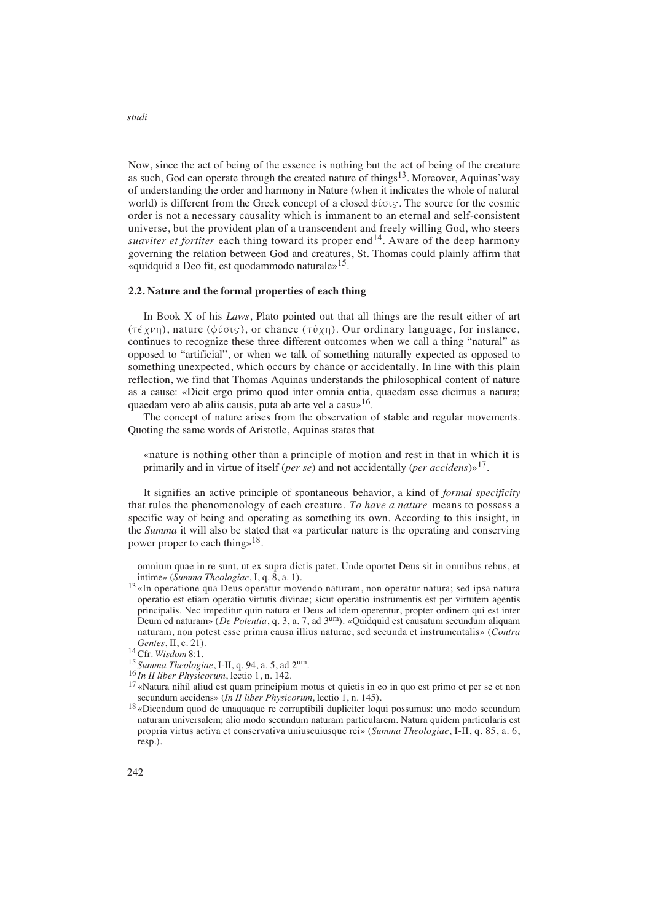Now, since the act of being of the essence is nothing but the act of being of the creature as such, God can operate through the created nature of things<sup>13</sup>. Moreover, Aquinas' way of understanding the order and harmony in Nature (when it indicates the whole of natural world) is different from the Greek concept of a closed  $\phi \acute{\omega}$  acsource for the cosmic order is not a necessary causality which is immanent to an eternal and self-consistent universe, but the provident plan of a transcendent and freely willing God, who steers *suaviter et fortiter* each thing toward its proper end<sup>14</sup>. Aware of the deep harmony governing the relation between God and creatures, St. Thomas could plainly affirm that «quidquid a Deo fit, est quodammodo naturale»15.

#### **2.2. Nature and the formal properties of each thing**

In Book X of his *Laws*, Plato pointed out that all things are the result either of art  $(\tau \notin \chi \nu_{\eta})$ , nature ( $\phi \nu \sigma \varsigma$ ), or chance ( $\tau \nu \chi_{\eta}$ ). Our ordinary language, for instance, continues to recognize these three different outcomes when we call a thing "natural" as opposed to "artificial", or when we talk of something naturally expected as opposed to something unexpected, which occurs by chance or accidentally. In line with this plain reflection, we find that Thomas Aquinas understands the philosophical content of nature as a cause: «Dicit ergo primo quod inter omnia entia, quaedam esse dicimus a natura; quaedam vero ab aliis causis, puta ab arte vel a casu»16.

The concept of nature arises from the observation of stable and regular movements. Quoting the same words of Aristotle, Aquinas states that

«nature is nothing other than a principle of motion and rest in that in which it is primarily and in virtue of itself (*per se*) and not accidentally (*per accidens*)»17.

It signifies an active principle of spontaneous behavior, a kind of *formal specificity* that rules the phenomenology of each creature. *To have a nature* means to possess a specific way of being and operating as something its own. According to this insight, in the *Summa* it will also be stated that «a particular nature is the operating and conserving power proper to each thing»18.

omnium quae in re sunt, ut ex supra dictis patet. Unde oportet Deus sit in omnibus rebus, et intime» (*Summa Theologiae*, I, q. 8, a. 1).

<sup>13</sup> «In operatione qua Deus operatur movendo naturam, non operatur natura; sed ipsa natura operatio est etiam operatio virtutis divinae; sicut operatio instrumentis est per virtutem agentis principalis. Nec impeditur quin natura et Deus ad idem operentur, propter ordinem qui est inter Deum ed naturam» (*De Potentia*, q. 3, a. 7, ad 3um). «Quidquid est causatum secundum aliquam naturam, non potest esse prima causa illius naturae, sed secunda et instrumentalis» (Contra *Gentes*, *II*, *c*. 21).

<sup>&</sup>lt;sup>14</sup> Cfr. *Wisdom* 8:1.<br><sup>15</sup> Summa Theologiae, I-II, q. 94, a. 5, ad 2<sup>um</sup>.

<sup>&</sup>lt;sup>16</sup> In II liber Physicorum, lectio 1, n. 142.

<sup>17</sup> «Natura nihil aliud est quam principium motus et quietis in eo in quo est primo et per se et non secundum accidens» (*In II liber Physicorum*, lectio 1, n. 145).

<sup>18</sup> «Dicendum quod de unaquaque re corruptibili dupliciter loqui possumus: uno modo secundum naturam universalem; alio modo secundum naturam particularem. Natura quidem particularis est propria virtus activa et conservativa uniuscuiusque rei» (*Summa Theologiae*, I-II, q. 85, a. 6, resp.).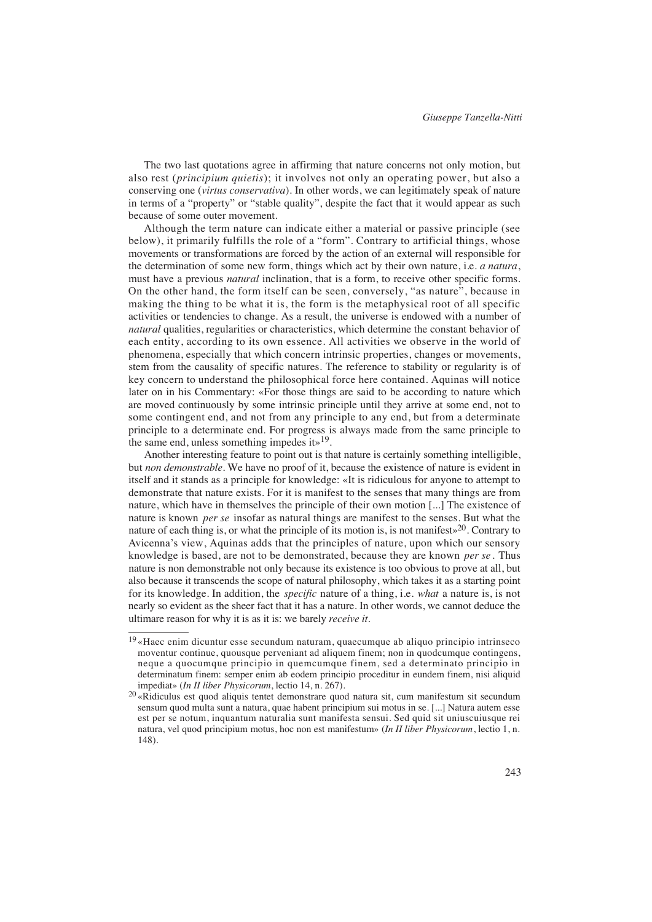The two last quotations agree in affirming that nature concerns not only motion, but also rest (*principium quietis*); it involves not only an operating power, but also a conserving one (*virtus conservativa*). In other words, we can legitimately speak of nature in terms of a "property" or "stable quality", despite the fact that it would appear as such because of some outer movement.

Although the term nature can indicate either a material or passive principle (see below), it primarily fulfills the role of a "form". Contrary to artificial things, whose movements or transformations are forced by the action of an external will responsible for the determination of some new form, things which act by their own nature, i.e. *a natura*, must have a previous *natural* inclination, that is a form, to receive other specific forms. On the other hand, the form itself can be seen, conversely, "as nature", because in making the thing to be what it is, the form is the metaphysical root of all specific activities or tendencies to change. As a result, the universe is endowed with a number of *natural* qualities, regularities or characteristics, which determine the constant behavior of each entity, according to its own essence. All activities we observe in the world of phenomena, especially that which concern intrinsic properties, changes or movements, stem from the causality of specific natures. The reference to stability or regularity is of key concern to understand the philosophical force here contained. Aquinas will notice later on in his Commentary: «For those things are said to be according to nature which are moved continuously by some intrinsic principle until they arrive at some end, not to some contingent end, and not from any principle to any end, but from a determinate principle to a determinate end. For progress is always made from the same principle to the same end, unless something impedes it»19.

Another interesting feature to point out is that nature is certainly something intelligible, but *non demonstrable*. We have no proof of it, because the existence of nature is evident in itself and it stands as a principle for knowledge: «It is ridiculous for anyone to attempt to demonstrate that nature exists. For it is manifest to the senses that many things are from nature, which have in themselves the principle of their own motion [...] The existence of nature is known *per se* insofar as natural things are manifest to the senses. But what the nature of each thing is, or what the principle of its motion is, is not manifest»<sup>20</sup>. Contrary to Avicenna's view, Aquinas adds that the principles of nature, upon which our sensory knowledge is based, are not to be demonstrated, because they are known *per se*. Thus nature is non demonstrable not only because its existence is too obvious to prove at all, but also because it transcends the scope of natural philosophy, which takes it as a starting point for its knowledge. In addition, the *specific* nature of a thing, i.e. *what* a nature is, is not nearly so evident as the sheer fact that it has a nature. In other words, we cannot deduce the ultimare reason for why it is as it is: we barely *receive it*.

<sup>19</sup> «Haec enim dicuntur esse secundum naturam, quaecumque ab aliquo principio intrinseco moventur continue, quousque perveniant ad aliquem finem; non in quodcumque contingens, neque a quocumque principio in quemcumque finem, sed a determinato principio in determinatum finem: semper enim ab eodem principio proceditur in eundem finem, nisi aliquid impediat» (*In II liber Physicorum*, lectio 14, n. 267).

<sup>&</sup>lt;sup>20</sup> «Ridiculus est quod aliquis tentet demonstrare quod natura sit, cum manifestum sit secundum sensum quod multa sunt a natura, quae habent principium sui motus in se. [...] Natura autem esse est per se notum, inquantum naturalia sunt manifesta sensui. Sed quid sit uniuscuiusque rei natura, vel quod principium motus, hoc non est manifestum» (*In II liber Physicorum*, lectio 1, n. 148).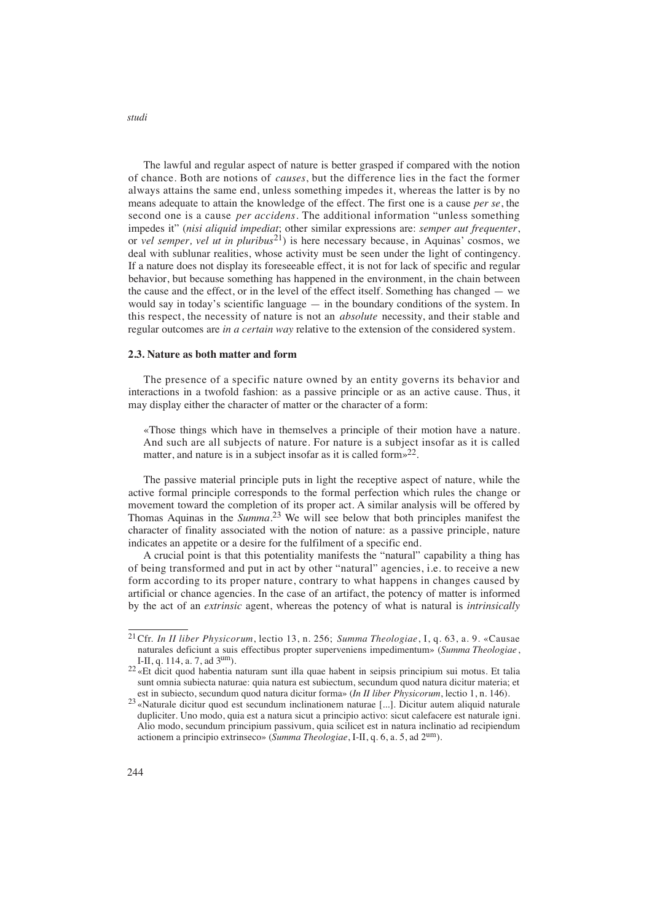The lawful and regular aspect of nature is better grasped if compared with the notion of chance. Both are notions of *causes*, but the difference lies in the fact the former always attains the same end, unless something impedes it, whereas the latter is by no means adequate to attain the knowledge of the effect. The first one is a cause *per se*, the second one is a cause *per accidens*. The additional information "unless something impedes it" (*nisi aliquid impediat*; other similar expressions are: *semper aut frequenter*, or *vel semper, vel ut in pluribus*21) is here necessary because, in Aquinas' cosmos, we deal with sublunar realities, whose activity must be seen under the light of contingency. If a nature does not display its foreseeable effect, it is not for lack of specific and regular behavior, but because something has happened in the environment, in the chain between the cause and the effect, or in the level of the effect itself. Something has changed — we would say in today's scientific language — in the boundary conditions of the system. In this respect, the necessity of nature is not an *absolute* necessity, and their stable and regular outcomes are *in a certain way* relative to the extension of the considered system.

#### **2.3. Nature as both matter and form**

The presence of a specific nature owned by an entity governs its behavior and interactions in a twofold fashion: as a passive principle or as an active cause. Thus, it may display either the character of matter or the character of a form:

«Those things which have in themselves a principle of their motion have a nature. And such are all subjects of nature. For nature is a subject insofar as it is called matter, and nature is in a subject insofar as it is called form $\frac{2^2}{3}$ .

The passive material principle puts in light the receptive aspect of nature, while the active formal principle corresponds to the formal perfection which rules the change or movement toward the completion of its proper act. A similar analysis will be offered by Thomas Aquinas in the *Summa*. <sup>23</sup> We will see below that both principles manifest the character of finality associated with the notion of nature: as a passive principle, nature indicates an appetite or a desire for the fulfilment of a specific end.

A crucial point is that this potentiality manifests the "natural" capability a thing has of being transformed and put in act by other "natural" agencies, i.e. to receive a new form according to its proper nature, contrary to what happens in changes caused by artificial or chance agencies. In the case of an artifact, the potency of matter is informed by the act of an *extrinsic* agent, whereas the potency of what is natural is *intrinsically*

<sup>&</sup>lt;sup>21</sup> Cfr. *In II liber Physicorum*, lectio 13, n. 256; *Summa Theologiae*, I, q. 63, a. 9. «Causae naturales deficiunt a suis effectibus propter superveniens impedimentum» (*Summa Theologiae*, I-II, q. 114, a. 7, ad 3um).

<sup>&</sup>lt;sup>22</sup> «Et dicit quod habentia naturam sunt illa quae habent in seipsis principium sui motus. Et talia sunt omnia subiecta naturae: quia natura est subiectum, secundum quod natura dicitur materia; et est in subiecto, secundum quod natura dicitur forma» (*In II liber Physicorum*, lectio 1, n. 146).

<sup>&</sup>lt;sup>23</sup> «Naturale dicitur quod est secundum inclinationem naturae [...]. Dicitur autem aliquid naturale dupliciter. Uno modo, quia est a natura sicut a principio activo: sicut calefacere est naturale igni. Alio modo, secundum principium passivum, quia scilicet est in natura inclinatio ad recipiendum actionem a principio extrinseco» (*Summa Theologiae*, I-II, q. 6, a. 5, ad 2um).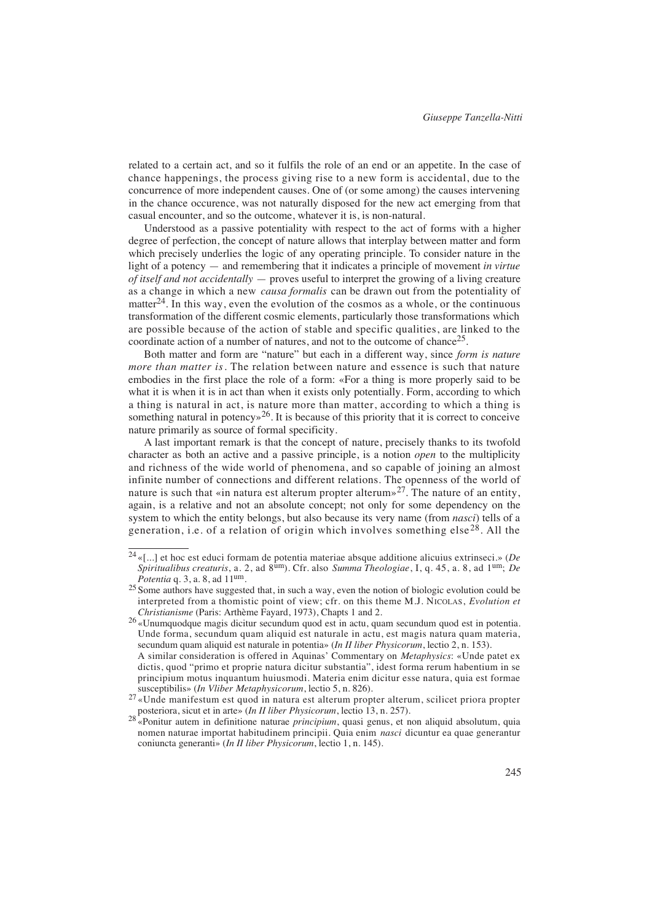related to a certain act, and so it fulfils the role of an end or an appetite. In the case of chance happenings, the process giving rise to a new form is accidental, due to the concurrence of more independent causes. One of (or some among) the causes intervening in the chance occurence, was not naturally disposed for the new act emerging from that casual encounter, and so the outcome, whatever it is, is non-natural.

Understood as a passive potentiality with respect to the act of forms with a higher degree of perfection, the concept of nature allows that interplay between matter and form which precisely underlies the logic of any operating principle. To consider nature in the light of a potency — and remembering that it indicates a principle of movement *in virtue of itself and not accidentally* — proves useful to interpret the growing of a living creature as a change in which a new *causa formalis* can be drawn out from the potentiality of matter<sup>24</sup>. In this way, even the evolution of the cosmos as a whole, or the continuous transformation of the different cosmic elements, particularly those transformations which are possible because of the action of stable and specific qualities, are linked to the coordinate action of a number of natures, and not to the outcome of chance25.

Both matter and form are "nature" but each in a different way, since *form is nature more than matter is*. The relation between nature and essence is such that nature embodies in the first place the role of a form: «For a thing is more properly said to be what it is when it is in act than when it exists only potentially. Form, according to which a thing is natural in act, is nature more than matter, according to which a thing is something natural in potency $\frac{1}{26}$ . It is because of this priority that it is correct to conceive nature primarily as source of formal specificity.

A last important remark is that the concept of nature, precisely thanks to its twofold character as both an active and a passive principle, is a notion *open* to the multiplicity and richness of the wide world of phenomena, and so capable of joining an almost infinite number of connections and different relations. The openness of the world of nature is such that «in natura est alterum propter alterum»<sup>27</sup>. The nature of an entity, again, is a relative and not an absolute concept; not only for some dependency on the system to which the entity belongs, but also because its very name (from *nasci*) tells of a generation, i.e. of a relation of origin which involves something else<sup>28</sup>. All the

<sup>&</sup>lt;sup>24</sup> «[...] et hoc est educi formam de potentia materiae absque additione alicuius extrinseci.» (*De Spiritualibus creaturis*, a. 2, ad  $8^{\text{um}}$ ). Cfr. also *Summa Theologiae*, I, q. 45, a. 8, ad 1<sup>um</sup>; *De Potentia* q. 3, a. 8, ad 11<sup>um</sup>.

<sup>&</sup>lt;sup>25</sup> Some authors have suggested that, in such a way, even the notion of biologic evolution could be interpreted from a thomistic point of view; cfr. on this theme M.J. NICOLAS, *Evolution et Christianisme* (Paris: Arthème Fayard, 1973), Chapts 1 and 2.

<sup>26</sup> «Unumquodque magis dicitur secundum quod est in actu, quam secundum quod est in potentia. Unde forma, secundum quam aliquid est naturale in actu, est magis natura quam materia, secundum quam aliquid est naturale in potentia» (*In II liber Physicorum*, lectio 2, n. 153). A similar consideration is offered in Aquinas' Commentary on *Metaphysics*: «Unde patet ex

dictis, quod "primo et proprie natura dicitur substantia", idest forma rerum habentium in se principium motus inquantum huiusmodi. Materia enim dicitur esse natura, quia est formae susceptibilis» (*In Vliber Metaphysicorum*, lectio 5, n. 826).

<sup>27</sup> «Unde manifestum est quod in natura est alterum propter alterum, scilicet priora propter posteriora, sicut et in arte» (*In II liber Physicorum*, lectio 13, n. 257).

<sup>28</sup> «Ponitur autem in definitione naturae *principium*, quasi genus, et non aliquid absolutum, quia nomen naturae importat habitudinem principii. Quia enim *nasci* dicuntur ea quae generantur coniuncta generanti» (*In II liber Physicorum*, lectio 1, n. 145).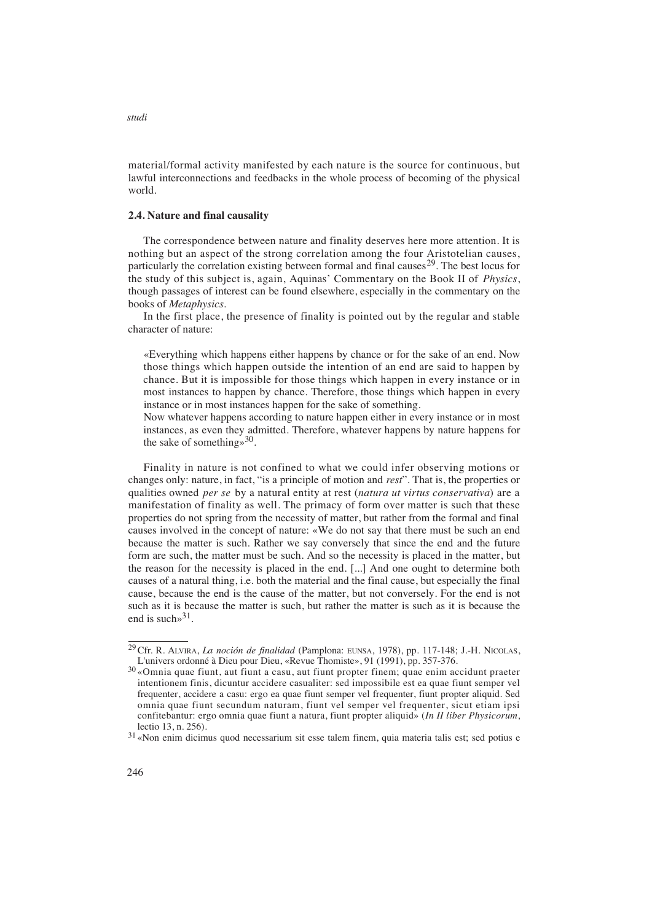material/formal activity manifested by each nature is the source for continuous, but lawful interconnections and feedbacks in the whole process of becoming of the physical world.

### **2.4. Nature and final causality**

The correspondence between nature and finality deserves here more attention. It is nothing but an aspect of the strong correlation among the four Aristotelian causes, particularly the correlation existing between formal and final causes<sup>29</sup>. The best locus for the study of this subject is, again, Aquinas' Commentary on the Book II of *Physics*, though passages of interest can be found elsewhere, especially in the commentary on the books of *Metaphysics*.

In the first place, the presence of finality is pointed out by the regular and stable character of nature:

«Everything which happens either happens by chance or for the sake of an end. Now those things which happen outside the intention of an end are said to happen by chance. But it is impossible for those things which happen in every instance or in most instances to happen by chance. Therefore, those things which happen in every instance or in most instances happen for the sake of something.

Now whatever happens according to nature happen either in every instance or in most instances, as even they admitted. Therefore, whatever happens by nature happens for the sake of something  $\approx$ <sup>30</sup>.

Finality in nature is not confined to what we could infer observing motions or changes only: nature, in fact, "is a principle of motion and *rest*". That is, the properties or qualities owned *per se* by a natural entity at rest (*natura ut virtus conservativa*) are a manifestation of finality as well. The primacy of form over matter is such that these properties do not spring from the necessity of matter, but rather from the formal and final causes involved in the concept of nature: «We do not say that there must be such an end because the matter is such. Rather we say conversely that since the end and the future form are such, the matter must be such. And so the necessity is placed in the matter, but the reason for the necessity is placed in the end. [...] And one ought to determine both causes of a natural thing, i.e. both the material and the final cause, but especially the final cause, because the end is the cause of the matter, but not conversely. For the end is not such as it is because the matter is such, but rather the matter is such as it is because the end is such  $3^3$ .

<sup>29</sup>Cfr. R. ALVIRA, *La noción de finalidad* (Pamplona: EUNSA, 1978), pp. 117-148; J.-H. NICOLAS, L'univers ordonné à Dieu pour Dieu, «Revue Thomiste», 91 (1991), pp. 357-376.

<sup>30</sup> «Omnia quae fiunt, aut fiunt a casu, aut fiunt propter finem; quae enim accidunt praeter intentionem finis, dicuntur accidere casualiter: sed impossibile est ea quae fiunt semper vel frequenter, accidere a casu: ergo ea quae fiunt semper vel frequenter, fiunt propter aliquid. Sed omnia quae fiunt secundum naturam, fiunt vel semper vel frequenter, sicut etiam ipsi confitebantur: ergo omnia quae fiunt a natura, fiunt propter aliquid» (*In II liber Physicorum*, lectio 13, n. 256).

<sup>31</sup> «Non enim dicimus quod necessarium sit esse talem finem, quia materia talis est; sed potius e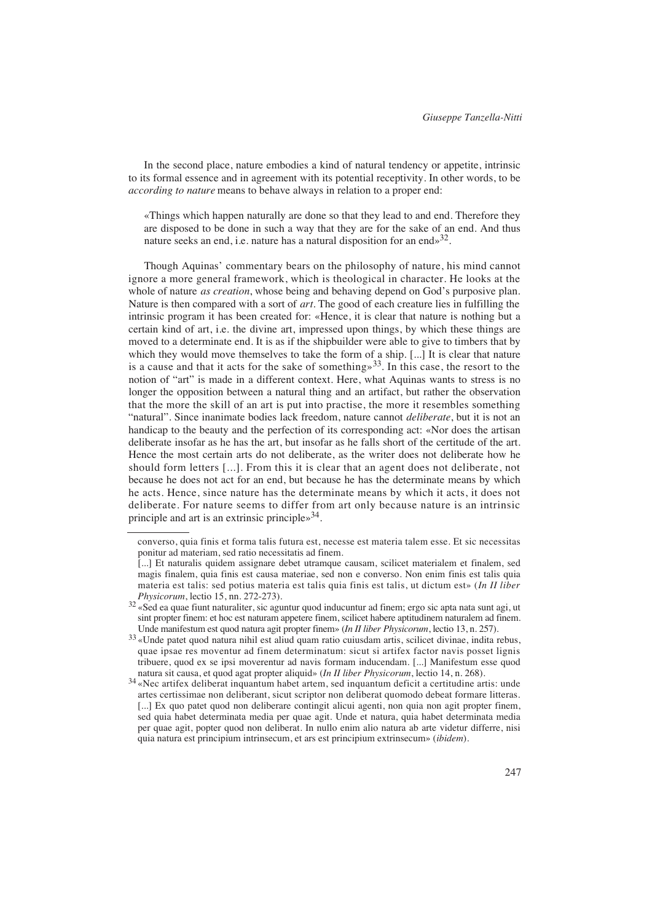In the second place, nature embodies a kind of natural tendency or appetite, intrinsic to its formal essence and in agreement with its potential receptivity. In other words, to be *according to nature* means to behave always in relation to a proper end:

«Things which happen naturally are done so that they lead to and end. Therefore they are disposed to be done in such a way that they are for the sake of an end. And thus nature seeks an end, i.e. nature has a natural disposition for an end $\frac{32}{3}$ .

Though Aquinas' commentary bears on the philosophy of nature, his mind cannot ignore a more general framework, which is theological in character. He looks at the whole of nature *as creation*, whose being and behaving depend on God's purposive plan. Nature is then compared with a sort of *art*. The good of each creature lies in fulfilling the intrinsic program it has been created for: «Hence, it is clear that nature is nothing but a certain kind of art, i.e. the divine art, impressed upon things, by which these things are moved to a determinate end. It is as if the shipbuilder were able to give to timbers that by which they would move themselves to take the form of a ship. [...] It is clear that nature is a cause and that it acts for the sake of something»<sup>33</sup>. In this case, the resort to the notion of "art" is made in a different context. Here, what Aquinas wants to stress is no longer the opposition between a natural thing and an artifact, but rather the observation that the more the skill of an art is put into practise, the more it resembles something "natural". Since inanimate bodies lack freedom, nature cannot *deliberate*, but it is not an handicap to the beauty and the perfection of its corresponding act: «Nor does the artisan deliberate insofar as he has the art, but insofar as he falls short of the certitude of the art. Hence the most certain arts do not deliberate, as the writer does not deliberate how he should form letters [...]. From this it is clear that an agent does not deliberate, not because he does not act for an end, but because he has the determinate means by which he acts. Hence, since nature has the determinate means by which it acts, it does not deliberate. For nature seems to differ from art only because nature is an intrinsic principle and art is an extrinsic principle»34.

converso, quia finis et forma talis futura est, necesse est materia talem esse. Et sic necessitas ponitur ad materiam, sed ratio necessitatis ad finem.

<sup>[...]</sup> Et naturalis quidem assignare debet utramque causam, scilicet materialem et finalem, sed magis finalem, quia finis est causa materiae, sed non e converso. Non enim finis est talis quia materia est talis: sed potius materia est talis quia finis est talis, ut dictum est» (*In II liber Physicorum*, lectio 15, nn. 272-273).

 $32$  «Sed ea quae fiunt naturaliter, sic aguntur quod inducuntur ad finem; ergo sic apta nata sunt agi, ut sint propter finem: et hoc est naturam appetere finem, scilicet habere aptitudinem naturalem ad finem. Unde manifestum est quod natura agit propter finem» (*In II liber Physicorum*, lectio 13, n. 257).

<sup>33</sup> «Unde patet quod natura nihil est aliud quam ratio cuiusdam artis, scilicet divinae, indita rebus, quae ipsae res moventur ad finem determinatum: sicut si artifex factor navis posset lignis tribuere, quod ex se ipsi moverentur ad navis formam inducendam. [...] Manifestum esse quod natura sit causa, et quod agat propter aliquid» (*In II liber Physicorum*, lectio 14, n. 268).

<sup>34</sup> «Nec artifex deliberat inquantum habet artem, sed inquantum deficit a certitudine artis: unde artes certissimae non deliberant, sicut scriptor non deliberat quomodo debeat formare litteras. [...] Ex quo patet quod non deliberare contingit alicui agenti, non quia non agit propter finem, sed quia habet determinata media per quae agit. Unde et natura, quia habet determinata media per quae agit, popter quod non deliberat. In nullo enim alio natura ab arte videtur differre, nisi quia natura est principium intrinsecum, et ars est principium extrinsecum» (*ibidem*).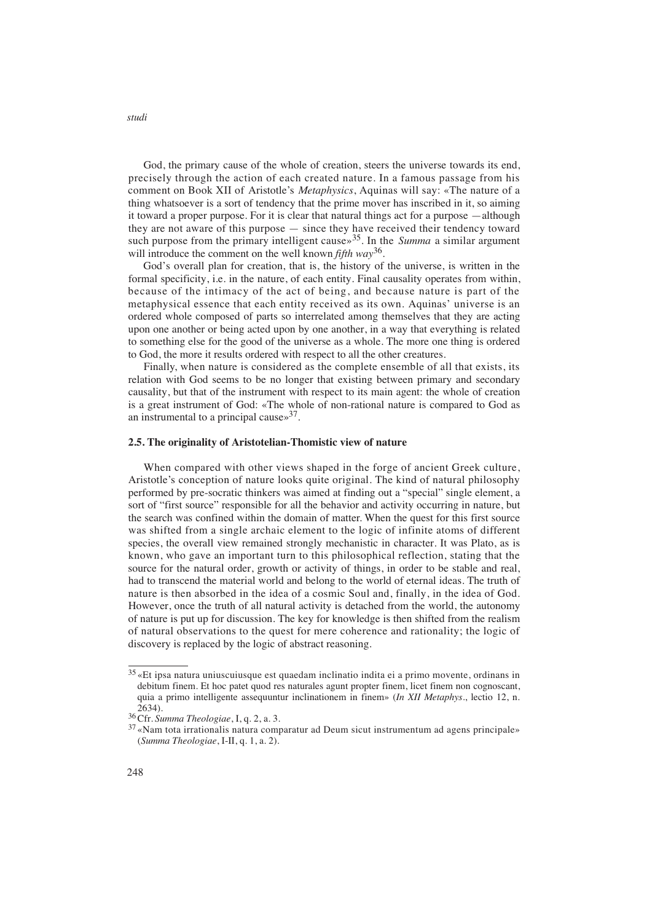God, the primary cause of the whole of creation, steers the universe towards its end, precisely through the action of each created nature. In a famous passage from his comment on Book XII of Aristotle's *Metaphysics*, Aquinas will say: «The nature of a thing whatsoever is a sort of tendency that the prime mover has inscribed in it, so aiming it toward a proper purpose. For it is clear that natural things act for a purpose —although they are not aware of this purpose — since they have received their tendency toward such purpose from the primary intelligent cause<sup> $35$ </sup>. In the *Summa* a similar argument will introduce the comment on the well known *fifth way*36.

God's overall plan for creation, that is, the history of the universe, is written in the formal specificity, i.e. in the nature, of each entity. Final causality operates from within, because of the intimacy of the act of being, and because nature is part of the metaphysical essence that each entity received as its own. Aquinas' universe is an ordered whole composed of parts so interrelated among themselves that they are acting upon one another or being acted upon by one another, in a way that everything is related to something else for the good of the universe as a whole. The more one thing is ordered to God, the more it results ordered with respect to all the other creatures.

Finally, when nature is considered as the complete ensemble of all that exists, its relation with God seems to be no longer that existing between primary and secondary causality, but that of the instrument with respect to its main agent: the whole of creation is a great instrument of God: «The whole of non-rational nature is compared to God as an instrumental to a principal cause $\frac{1}{2}$ .

#### **2.5. The originality of Aristotelian-Thomistic view of nature**

When compared with other views shaped in the forge of ancient Greek culture, Aristotle's conception of nature looks quite original. The kind of natural philosophy performed by pre-socratic thinkers was aimed at finding out a "special" single element, a sort of "first source" responsible for all the behavior and activity occurring in nature, but the search was confined within the domain of matter. When the quest for this first source was shifted from a single archaic element to the logic of infinite atoms of different species, the overall view remained strongly mechanistic in character. It was Plato, as is known, who gave an important turn to this philosophical reflection, stating that the source for the natural order, growth or activity of things, in order to be stable and real, had to transcend the material world and belong to the world of eternal ideas. The truth of nature is then absorbed in the idea of a cosmic Soul and, finally, in the idea of God. However, once the truth of all natural activity is detached from the world, the autonomy of nature is put up for discussion. The key for knowledge is then shifted from the realism of natural observations to the quest for mere coherence and rationality; the logic of discovery is replaced by the logic of abstract reasoning.

<sup>35</sup> «Et ipsa natura uniuscuiusque est quaedam inclinatio indita ei a primo movente, ordinans in debitum finem. Et hoc patet quod res naturales agunt propter finem, licet finem non cognoscant, quia a primo intelligente assequuntur inclinationem in finem» (*In XII Metaphys.*, lectio 12, n.  $2634$ 

<sup>36</sup>Cfr. *Summa Theologiae*, I, q. 2, a. 3.

<sup>37</sup> «Nam tota irrationalis natura comparatur ad Deum sicut instrumentum ad agens principale» (*Summa Theologiae*, I-II, q. 1, a. 2).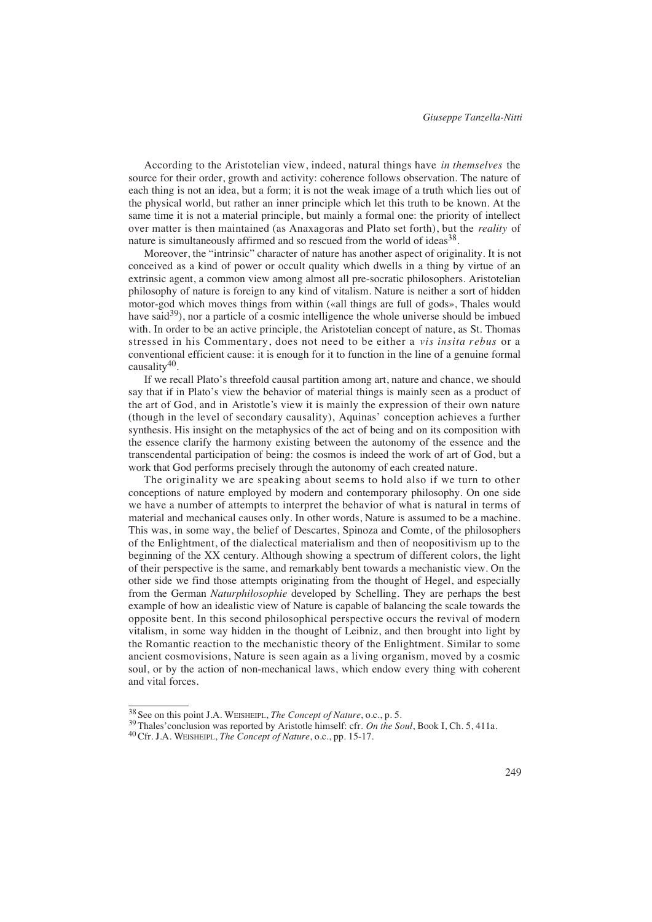According to the Aristotelian view, indeed, natural things have *in themselves* the source for their order, growth and activity: coherence follows observation. The nature of each thing is not an idea, but a form; it is not the weak image of a truth which lies out of the physical world, but rather an inner principle which let this truth to be known. At the same time it is not a material principle, but mainly a formal one: the priority of intellect over matter is then maintained (as Anaxagoras and Plato set forth), but the *reality* of nature is simultaneously affirmed and so rescued from the world of ideas<sup>38</sup>.

Moreover, the "intrinsic" character of nature has another aspect of originality. It is not conceived as a kind of power or occult quality which dwells in a thing by virtue of an extrinsic agent, a common view among almost all pre-socratic philosophers. Aristotelian philosophy of nature is foreign to any kind of vitalism. Nature is neither a sort of hidden motor-god which moves things from within («all things are full of gods», Thales would have said<sup>39</sup>), nor a particle of a cosmic intelligence the whole universe should be imbued with. In order to be an active principle, the Aristotelian concept of nature, as St. Thomas stressed in his Commentary, does not need to be either a *vis insita rebus* or a conventional efficient cause: it is enough for it to function in the line of a genuine formal causality40.

If we recall Plato's threefold causal partition among art, nature and chance, we should say that if in Plato's view the behavior of material things is mainly seen as a product of the art of God, and in Aristotle's view it is mainly the expression of their own nature (though in the level of secondary causality), Aquinas' conception achieves a further synthesis. His insight on the metaphysics of the act of being and on its composition with the essence clarify the harmony existing between the autonomy of the essence and the transcendental participation of being: the cosmos is indeed the work of art of God, but a work that God performs precisely through the autonomy of each created nature.

The originality we are speaking about seems to hold also if we turn to other conceptions of nature employed by modern and contemporary philosophy. On one side we have a number of attempts to interpret the behavior of what is natural in terms of material and mechanical causes only. In other words, Nature is assumed to be a machine. This was, in some way, the belief of Descartes, Spinoza and Comte, of the philosophers of the Enlightment, of the dialectical materialism and then of neopositivism up to the beginning of the XX century. Although showing a spectrum of different colors, the light of their perspective is the same, and remarkably bent towards a mechanistic view. On the other side we find those attempts originating from the thought of Hegel, and especially from the German *Naturphilosophie* developed by Schelling. They are perhaps the best example of how an idealistic view of Nature is capable of balancing the scale towards the opposite bent. In this second philosophical perspective occurs the revival of modern vitalism, in some way hidden in the thought of Leibniz, and then brought into light by the Romantic reaction to the mechanistic theory of the Enlightment. Similar to some ancient cosmovisions, Nature is seen again as a living organism, moved by a cosmic soul, or by the action of non-mechanical laws, which endow every thing with coherent and vital forces.

<sup>38</sup> See on this point J.A. WEISHEIPL, *The Concept of Nature*, o.c*.*, p. 5.

<sup>39</sup>Thales'conclusion was reported by Aristotle himself: cfr. *On the Soul*, Book I, Ch. 5, 411a.

<sup>40</sup>Cfr. J.A. WEISHEIPL, *The Concept of Nature*, o.c., pp. 15-17.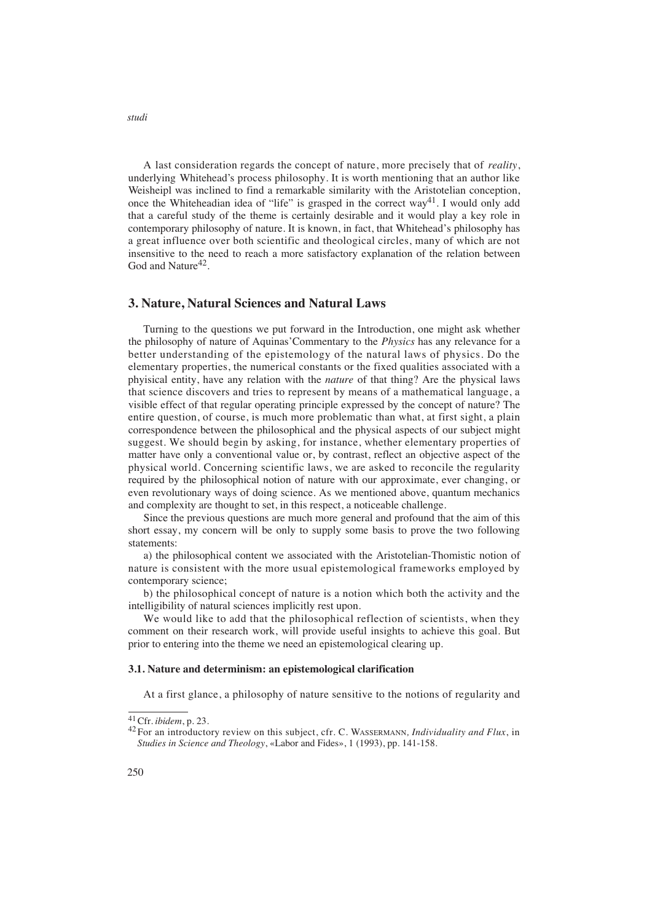A last consideration regards the concept of nature, more precisely that of *reality*, underlying Whitehead's process philosophy. It is worth mentioning that an author like Weisheipl was inclined to find a remarkable similarity with the Aristotelian conception, once the Whiteheadian idea of "life" is grasped in the correct way41. I would only add that a careful study of the theme is certainly desirable and it would play a key role in contemporary philosophy of nature. It is known, in fact, that Whitehead's philosophy has a great influence over both scientific and theological circles, many of which are not insensitive to the need to reach a more satisfactory explanation of the relation between God and Nature<sup>42</sup>

## **3. Nature, Natural Sciences and Natural Laws**

Turning to the questions we put forward in the Introduction, one might ask whether the philosophy of nature of Aquinas'Commentary to the *Physics* has any relevance for a better understanding of the epistemology of the natural laws of physics. Do the elementary properties, the numerical constants or the fixed qualities associated with a phyisical entity, have any relation with the *nature* of that thing? Are the physical laws that science discovers and tries to represent by means of a mathematical language, a visible effect of that regular operating principle expressed by the concept of nature? The entire question, of course, is much more problematic than what, at first sight, a plain correspondence between the philosophical and the physical aspects of our subject might suggest. We should begin by asking, for instance, whether elementary properties of matter have only a conventional value or, by contrast, reflect an objective aspect of the physical world. Concerning scientific laws, we are asked to reconcile the regularity required by the philosophical notion of nature with our approximate, ever changing, or even revolutionary ways of doing science. As we mentioned above, quantum mechanics and complexity are thought to set, in this respect, a noticeable challenge.

Since the previous questions are much more general and profound that the aim of this short essay, my concern will be only to supply some basis to prove the two following statements:

a) the philosophical content we associated with the Aristotelian-Thomistic notion of nature is consistent with the more usual epistemological frameworks employed by contemporary science;

b) the philosophical concept of nature is a notion which both the activity and the intelligibility of natural sciences implicitly rest upon.

We would like to add that the philosophical reflection of scientists, when they comment on their research work, will provide useful insights to achieve this goal. But prior to entering into the theme we need an epistemological clearing up.

#### **3.1. Nature and determinism: an epistemological clarification**

At a first glance, a philosophy of nature sensitive to the notions of regularity and

<sup>41</sup>Cfr. *ibidem*, p. 23.

<sup>&</sup>lt;sup>42</sup> For an introductory review on this subject, cfr. C. WASSERMANN, Individuality and Flux, in *Studies in Science and Theology*, «Labor and Fides», 1 (1993), pp. 141-158.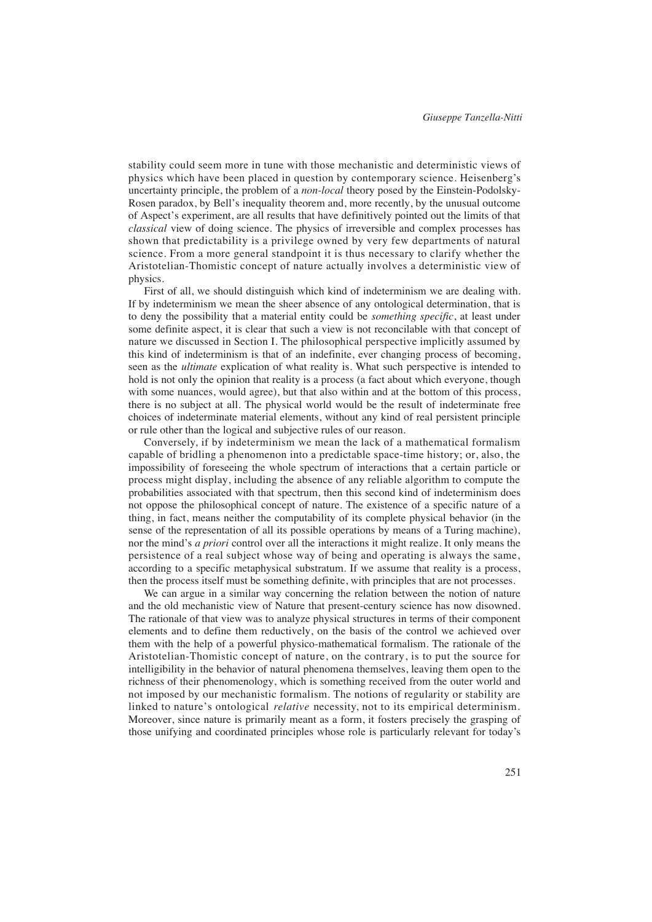stability could seem more in tune with those mechanistic and deterministic views of physics which have been placed in question by contemporary science. Heisenberg 's uncertainty principle, the problem of a *non-local* theory posed by the Einstein-Podolsky-Rosen paradox, by Bell's inequality theorem and, more recently, by the unusual outcome of Aspect's experiment, are all results that have definitively pointed out the limits of that *classical* view of doing science. The physics of irreversible and complex processes has shown that predictability is a privilege owned by very few departments of natural science. From a more general standpoint it is thus necessary to clarify whether the Aristotelian-Thomistic concept of nature actually involves a deterministic view of physics.

First of all, we should distinguish which kind of indeterminism we are dealing with. If by indeterminism we mean the sheer absence of any ontological determination, that is to deny the possibility that a material entity could be *something specific*, at least under some definite aspect, it is clear that such a view is not reconcilable with that concept of nature we discussed in Section I. The philosophical perspective implicitly assumed by this kind of indeterminism is that of an indefinite, ever changing process of becoming, seen as the *ultimate* explication of what reality is. What such perspective is intended to hold is not only the opinion that reality is a process (a fact about which everyone, though with some nuances, would agree), but that also within and at the bottom of this process, there is no subject at all. The physical world would be the result of indeterminate free choices of indeterminate material elements, without any kind of real persistent principle or rule other than the logical and subjective rules of our reason.

Conversely, if by indeterminism we mean the lack of a mathematical formalism capable of bridling a phenomenon into a predictable space-time history; or, also, the impossibility of foreseeing the whole spectrum of interactions that a certain particle or process might display, including the absence of any reliable algorithm to compute the probabilities associated with that spectrum, then this second kind of indeterminism does not oppose the philosophical concept of nature. The existence of a specific nature of a thing, in fact, means neither the computability of its complete physical behavior (in the sense of the representation of all its possible operations by means of a Turing machine), nor the mind's *a priori* control over all the interactions it might realize. It only means the persistence of a real subject whose way of being and operating is always the same, according to a specific metaphysical substratum. If we assume that reality is a process, then the process itself must be something definite, with principles that are not processes.

We can argue in a similar way concerning the relation between the notion of nature and the old mechanistic view of Nature that present-century science has now disowned. The rationale of that view was to analyze physical structures in terms of their component elements and to define them reductively, on the basis of the control we achieved over them with the help of a powerful physico-mathematical formalism. The rationale of the Aristotelian-Thomistic concept of nature, on the contrary, is to put the source for intelligibility in the behavior of natural phenomena themselves, leaving them open to the richness of their phenomenology, which is something received from the outer world and not imposed by our mechanistic formalism. The notions of regularity or stability are linked to nature's ontological *relative* necessity, not to its empirical determinism. Moreover, since nature is primarily meant as a form, it fosters precisely the grasping of those unifying and coordinated principles whose role is particularly relevant for today's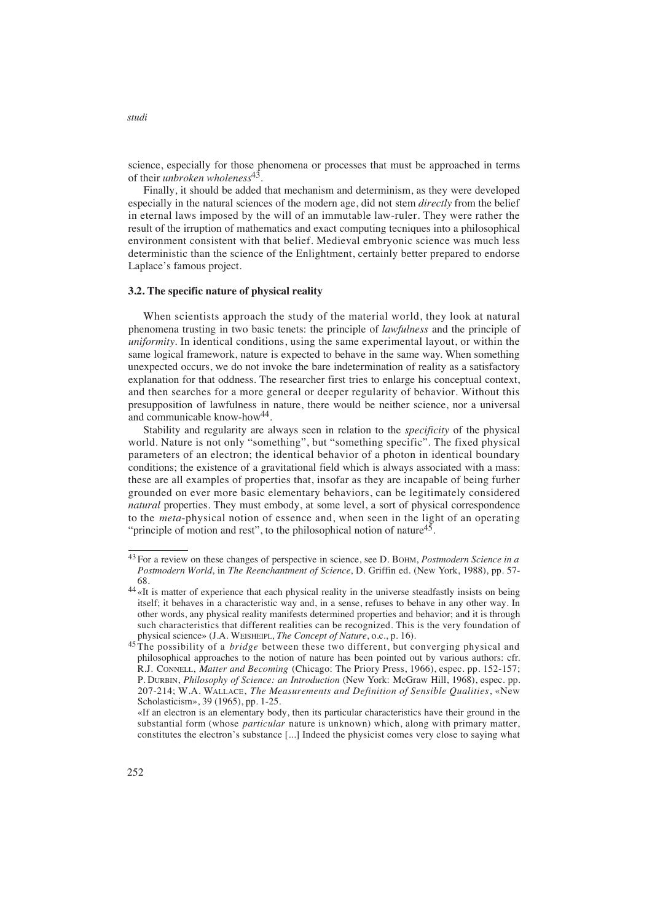science, especially for those phenomena or processes that must be approached in terms of their *unbroken wholeness*43.

Finally, it should be added that mechanism and determinism, as they were developed especially in the natural sciences of the modern age, did not stem *directly* from the belief in eternal laws imposed by the will of an immutable law-ruler. They were rather the result of the irruption of mathematics and exact computing tecniques into a philosophical environment consistent with that belief. Medieval embryonic science was much less deterministic than the science of the Enlightment, certainly better prepared to endorse Laplace's famous project.

#### **3.2. The specific nature of physical reality**

When scientists approach the study of the material world, they look at natural phenomena trusting in two basic tenets: the principle of *lawfulness* and the principle of *uniformity*. In identical conditions, using the same experimental layout, or within the same logical framework, nature is expected to behave in the same way. When something unexpected occurs, we do not invoke the bare indetermination of reality as a satisfactory explanation for that oddness. The researcher first tries to enlarge his conceptual context, and then searches for a more general or deeper regularity of behavior. Without this presupposition of lawfulness in nature, there would be neither science, nor a universal and communicable know-how<sup>44</sup>.

Stability and regularity are always seen in relation to the *specificity* of the physical world. Nature is not only "something", but "something specific". The fixed physical parameters of an electron; the identical behavior of a photon in identical boundary conditions; the existence of a gravitational field which is always associated with a mass: these are all examples of properties that, insofar as they are incapable of being furher grounded on ever more basic elementary behaviors, can be legitimately considered *natural* properties. They must embody, at some level, a sort of physical correspondence to the *meta*-physical notion of essence and, when seen in the light of an operating "principle of motion and rest", to the philosophical notion of nature<sup>45</sup>.

<sup>43</sup> For a review on these changes of perspective in science, see D. BOHM, *Postmodern Science in a Postmodern World*, in *The Reenchantment of Science*, D. Griffin ed. (New York, 1988), pp. 57- 68.

<sup>&</sup>lt;sup>44</sup> «It is matter of experience that each physical reality in the universe steadfastly insists on being itself; it behaves in a characteristic way and, in a sense, refuses to behave in any other way. In other words, any physical reality manifests determined properties and behavior; and it is through such characteristics that different realities can be recognized. This is the very foundation of physical science» (J.A. WEISHEIPL, *The Concept of Nature*, o.c*.*, p. 16).

<sup>45</sup> The possibility of a *bridge* between these two different, but converging physical and philosophical approaches to the notion of nature has been pointed out by various authors: cfr. R.J. CONNELL, *Matter and Becoming* (Chicago: The Priory Press, 1966), espec. pp. 152-157; P. DURBIN, *Philosophy of Science: an Introduction* (New York: McGraw Hill, 1968), espec. pp. 207-214; W.A. WALLACE, *The Measurements and Definition of Sensible Qualities*, «New Scholasticism», 39 (1965), pp. 1-25.

<sup>«</sup>If an electron is an elementary body, then its particular characteristics have their ground in the substantial form (whose *particular* nature is unknown) which, along with primary matter, constitutes the electron's substance [...] Indeed the physicist comes very close to saying what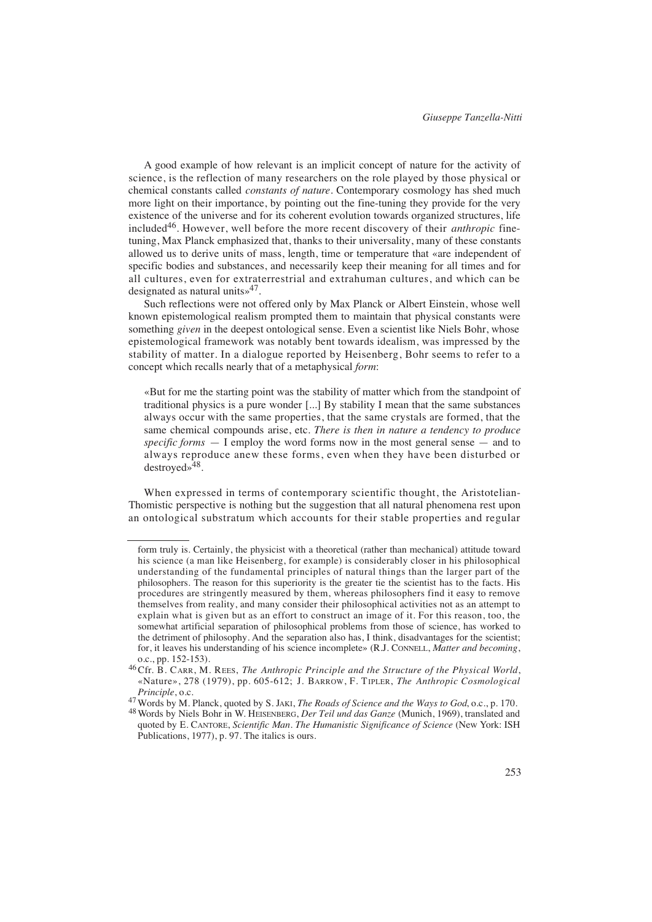A good example of how relevant is an implicit concept of nature for the activity of science, is the reflection of many researchers on the role played by those physical or chemical constants called *constants of nature*. Contemporary cosmology has shed much more light on their importance, by pointing out the fine-tuning they provide for the very existence of the universe and for its coherent evolution towards organized structures, life included<sup>46</sup>. However, well before the more recent discovery of their *anthropic* finetuning, Max Planck emphasized that, thanks to their universality, many of these constants allowed us to derive units of mass, length, time or temperature that «are independent of specific bodies and substances, and necessarily keep their meaning for all times and for all cultures, even for extraterrestrial and extrahuman cultures, and which can be designated as natural units»47.

Such reflections were not offered only by Max Planck or Albert Einstein, whose well known epistemological realism prompted them to maintain that physical constants were something *given* in the deepest ontological sense. Even a scientist like Niels Bohr, whose epistemological framework was notably bent towards idealism, was impressed by the stability of matter. In a dialogue reported by Heisenberg, Bohr seems to refer to a concept which recalls nearly that of a metaphysical *form*:

«But for me the starting point was the stability of matter which from the standpoint of traditional physics is a pure wonder [...] By stability I mean that the same substances always occur with the same properties, that the same crystals are formed, that the same chemical compounds arise, etc. *There is then in nature a tendency to produce specific forms* — I employ the word forms now in the most general sense — and to always reproduce anew these forms, even when they have been disturbed or destroyed»48.

When expressed in terms of contemporary scientific thought, the Aristotelian-Thomistic perspective is nothing but the suggestion that all natural phenomena rest upon an ontological substratum which accounts for their stable properties and regular

form truly is. Certainly, the physicist with a theoretical (rather than mechanical) attitude toward his science (a man like Heisenberg, for example) is considerably closer in his philosophical understanding of the fundamental principles of natural things than the larger part of the philosophers. The reason for this superiority is the greater tie the scientist has to the facts. His procedures are stringently measured by them, whereas philosophers find it easy to remove themselves from reality, and many consider their philosophical activities not as an attempt to explain what is given but as an effort to construct an image of it. For this reason, too, the somewhat artificial separation of philosophical problems from those of science, has worked to the detriment of philosophy. And the separation also has, I think, disadvantages for the scientist; for, it leaves his understanding of his science incomplete» (R.J. CONNELL, *Matter and becoming*, o.c*.*, pp. 152-153).

<sup>&</sup>lt;sup>46</sup>Cfr. B. CARR, M. REES, *The Anthropic Principle and the Structure of the Physical World*, «Nature», 278 (1979), pp. 605-612; J. BARROW, F. TIPLER, *The Anthropic Cosmological Principle*, o.c.

<sup>47</sup>Words by M. Planck, quoted by S. JAKI, *The Roads of Science and the Ways to God*, o.c*.*, p. 170.

<sup>48</sup>Words by Niels Bohr in W. HEISENBERG, *Der Teil und das Ganze* (Munich, 1969), translated and quoted by E. CANTORE, *Scientific Man. The Humanistic Significance of Science* (New York: ISH Publications, 1977), p. 97. The italics is ours.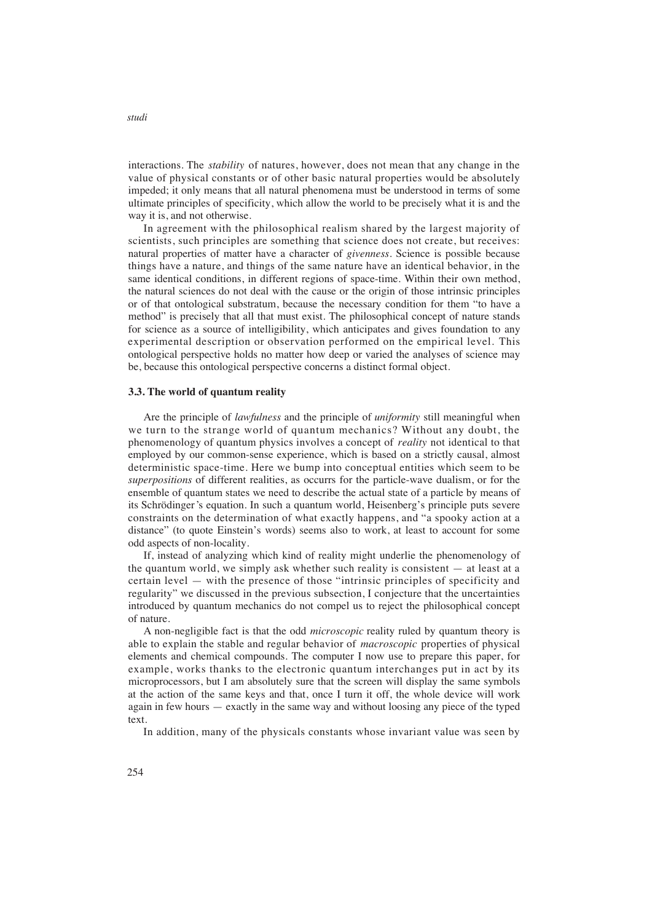interactions. The *stability* of natures, however, does not mean that any change in the value of physical constants or of other basic natural properties would be absolutely impeded; it only means that all natural phenomena must be understood in terms of some ultimate principles of specificity, which allow the world to be precisely what it is and the way it is, and not otherwise.

In agreement with the philosophical realism shared by the largest majority of scientists, such principles are something that science does not create, but receives: natural properties of matter have a character of *givenness*. Science is possible because things have a nature, and things of the same nature have an identical behavior, in the same identical conditions, in different regions of space-time. Within their own method, the natural sciences do not deal with the cause or the origin of those intrinsic principles or of that ontological substratum, because the necessary condition for them "to have a method" is precisely that all that must exist. The philosophical concept of nature stands for science as a source of intelligibility, which anticipates and gives foundation to any experimental description or observation performed on the empirical level. This ontological perspective holds no matter how deep or varied the analyses of science may be, because this ontological perspective concerns a distinct formal object.

#### **3.3. The world of quantum reality**

Are the principle of *lawfulness* and the principle of *uniformity* still meaningful when we turn to the strange world of quantum mechanics? Without any doubt, the phenomenology of quantum physics involves a concept of *reality* not identical to that employed by our common-sense experience, which is based on a strictly causal, almost deterministic space-time. Here we bump into conceptual entities which seem to be *superpositions* of different realities, as occurrs for the particle-wave dualism, or for the ensemble of quantum states we need to describe the actual state of a particle by means of its Schrödinger's equation. In such a quantum world, Heisenberg's principle puts severe constraints on the determination of what exactly happens, and "a spooky action at a distance" (to quote Einstein's words) seems also to work, at least to account for some odd aspects of non-locality.

If, instead of analyzing which kind of reality might underlie the phenomenology of the quantum world, we simply ask whether such reality is consistent  $-$  at least at a certain level — with the presence of those "intrinsic principles of specificity and regularity" we discussed in the previous subsection, I conjecture that the uncertainties introduced by quantum mechanics do not compel us to reject the philosophical concept of nature.

A non-negligible fact is that the odd *microscopic* reality ruled by quantum theory is able to explain the stable and regular behavior of *macroscopic* properties of physical elements and chemical compounds. The computer I now use to prepare this paper, for example, works thanks to the electronic quantum interchanges put in act by its microprocessors, but I am absolutely sure that the screen will display the same symbols at the action of the same keys and that, once I turn it off, the whole device will work again in few hours  $-$  exactly in the same way and without loosing any piece of the typed text.

In addition, many of the physicals constants whose invariant value was seen by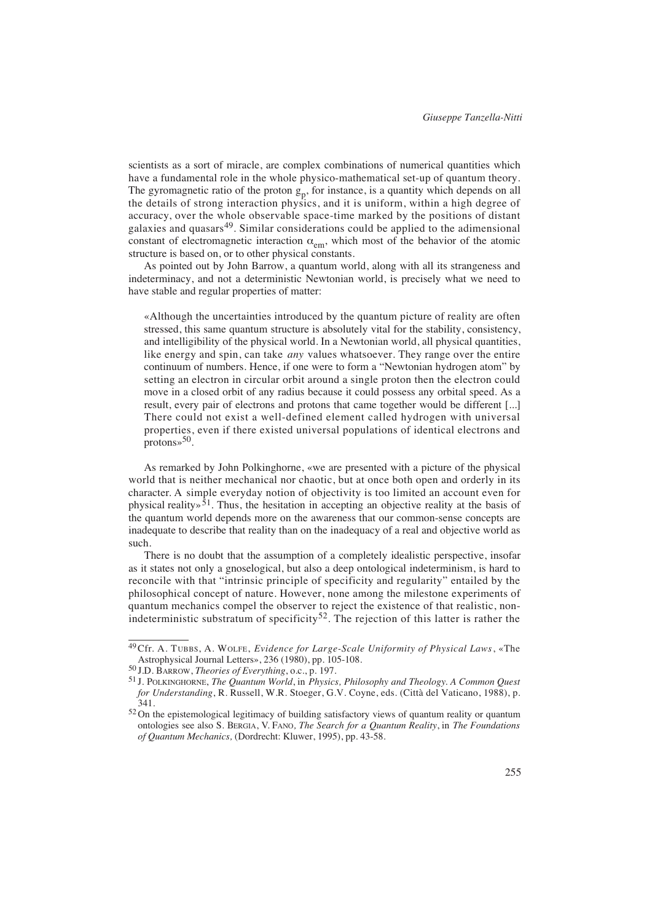scientists as a sort of miracle, are complex combinations of numerical quantities which have a fundamental role in the whole physico-mathematical set-up of quantum theory. The gyromagnetic ratio of the proton  $g_p$ , for instance, is a quantity which depends on all the details of strong interaction physics, and it is uniform, within a high degree of accuracy, over the whole observable space-time marked by the positions of distant galaxies and quasars<sup>49</sup>. Similar considerations could be applied to the adimensional constant of electromagnetic interaction  $\alpha_{em}$ , which most of the behavior of the atomic structure is based on, or to other physical constants.

As pointed out by John Barrow, a quantum world, along with all its strangeness and indeterminacy, and not a deterministic Newtonian world, is precisely what we need to have stable and regular properties of matter:

«Although the uncertainties introduced by the quantum picture of reality are often stressed, this same quantum structure is absolutely vital for the stability, consistency, and intelligibility of the physical world. In a Newtonian world, all physical quantities, like energy and spin, can take *any* values whatsoever. They range over the entire continuum of numbers. Hence, if one were to form a "Newtonian hydrogen atom" by setting an electron in circular orbit around a single proton then the electron could move in a closed orbit of any radius because it could possess any orbital speed. As a result, every pair of electrons and protons that came together would be different [...] There could not exist a well-defined element called hydrogen with universal properties, even if there existed universal populations of identical electrons and  $protons \times 50$ .

As remarked by John Polkinghorne, «we are presented with a picture of the physical world that is neither mechanical nor chaotic, but at once both open and orderly in its character. A simple everyday notion of objectivity is too limited an account even for physical reality»<sup>51</sup>. Thus, the hesitation in accepting an objective reality at the basis of the quantum world depends more on the awareness that our common-sense concepts are inadequate to describe that reality than on the inadequacy of a real and objective world as such.

There is no doubt that the assumption of a completely idealistic perspective, insofar as it states not only a gnoselogical, but also a deep ontological indeterminism, is hard to reconcile with that "intrinsic principle of specificity and regularity" entailed by the philosophical concept of nature. However, none among the milestone experiments of quantum mechanics compel the observer to reject the existence of that realistic, nonindeterministic substratum of specificity<sup>52</sup>. The rejection of this latter is rather the

<sup>&</sup>lt;sup>49</sup> Cfr. A. TUBBS, A. WOLFE, *Evidence for Large-Scale Uniformity of Physical Laws*, «The Astrophysical Journal Letters», 236 (1980), pp. 105-108.

<sup>50</sup> J.D. BARROW, *Theories of Everything*, o.c*.*, p. 197.

<sup>51</sup> J. POLKINGHORNE, *The Quantum World*, in *Physics, Philosophy and Theology. A Common Quest for Understanding*, R. Russell, W.R. Stoeger, G.V. Coyne, eds. (Città del Vaticano, 1988), p. 341.

<sup>&</sup>lt;sup>52</sup> On the epistemological legitimacy of building satisfactory views of quantum reality or quantum ontologies see also S. BERGIA, V. FANO*, The Search for a Quantum Reality*, in *The Foundations of Quantum Mechanics,* (Dordrecht: Kluwer, 1995), pp. 43-58.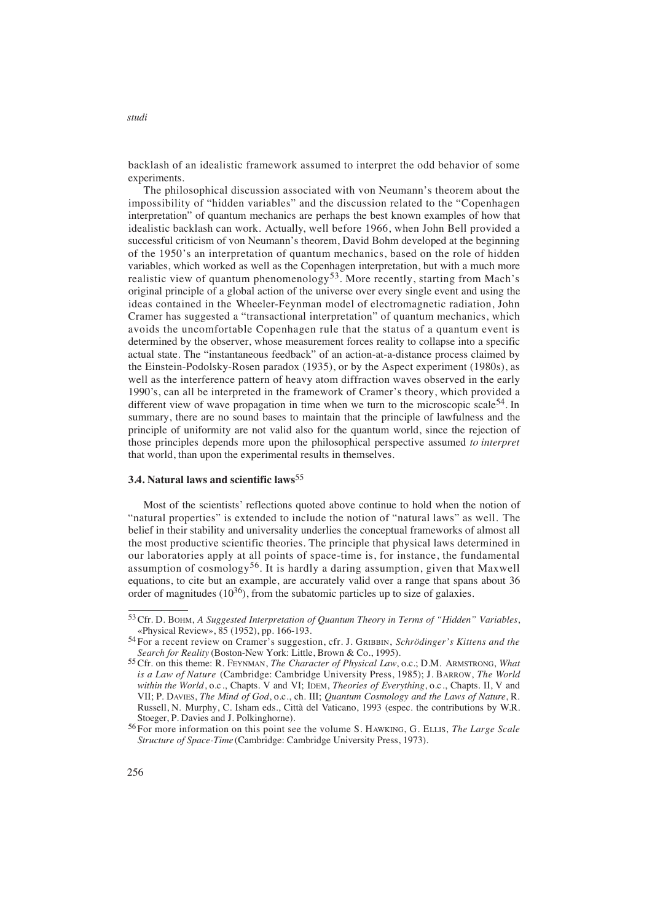backlash of an idealistic framework assumed to interpret the odd behavior of some experiments.

The philosophical discussion associated with von Neumann's theorem about the impossibility of "hidden variables" and the discussion related to the "Copenhagen interpretation" of quantum mechanics are perhaps the best known examples of how that idealistic backlash can work. Actually, well before 1966, when John Bell provided a successful criticism of von Neumann's theorem, David Bohm developed at the beginning of the 1950's an interpretation of quantum mechanics, based on the role of hidden variables, which worked as well as the Copenhagen interpretation, but with a much more realistic view of quantum phenomenology<sup>53</sup>. More recently, starting from Mach's original principle of a global action of the universe over every single event and using the ideas contained in the Wheeler-Feynman model of electromagnetic radiation, John Cramer has suggested a "transactional interpretation" of quantum mechanics, which avoids the uncomfortable Copenhagen rule that the status of a quantum event is determined by the observer, whose measurement forces reality to collapse into a specific actual state. The "instantaneous feedback" of an action-at-a-distance process claimed by the Einstein-Podolsky-Rosen paradox (1935), or by the Aspect experiment (1980s), as well as the interference pattern of heavy atom diffraction waves observed in the early 1990's, can all be interpreted in the framework of Cramer's theory, which provided a different view of wave propagation in time when we turn to the microscopic scale<sup>54</sup>. In summary, there are no sound bases to maintain that the principle of lawfulness and the principle of uniformity are not valid also for the quantum world, since the rejection of those principles depends more upon the philosophical perspective assumed *to interpret* that world, than upon the experimental results in themselves.

## **3.4. Natural laws and scientific laws**<sup>55</sup>

Most of the scientists' reflections quoted above continue to hold when the notion of "natural properties" is extended to include the notion of "natural laws" as well. The belief in their stability and universality underlies the conceptual frameworks of almost all the most productive scientific theories. The principle that physical laws determined in our laboratories apply at all points of space-time is, for instance, the fundamental assumption of cosmology<sup>56</sup>. It is hardly a daring assumption, given that Maxwell equations, to cite but an example, are accurately valid over a range that spans about 36 order of magnitudes  $(10^{36})$ , from the subatomic particles up to size of galaxies.

<sup>53</sup>Cfr. D. BOHM, *A Suggested Interpretation of Quantum Theory in Terms of "Hidden" Variables*, «Physical Review», 85 (1952), pp. 166-193.

<sup>54</sup> For a recent review on Cramer's suggestion, cfr. J. GRIBBIN, *Schrödinger's Kittens and the Search for Reality* (Boston-New York: Little, Brown & Co., 1995).

<sup>55</sup>Cfr. on this theme: R. FEYNMAN, *The Character of Physical Law*, o.c.; D.M. ARMSTRONG, *What is a Law of Nature* (Cambridge: Cambridge University Press, 1985); J. BARROW, The World *within the World*, o.c *.*, Chapts. V and VI; IDEM, *Theories of Everything*, o.c*.*, Chapts. II, V and VII; P. DAVIES, *The Mind of God*, o.c*.*, ch. III; *Quantum Cosmology and the Laws of Nature*, R. Russell, N. Murphy, C. Isham eds., Città del Vaticano, 1993 (espec. the contributions by W.R. Stoeger, P. Davies and J. Polkinghorne).

<sup>&</sup>lt;sup>56</sup> For more information on this point see the volume S. HAWKING, G. ELLIS, *The Large Scale Structure of Space-Time* (Cambridge: Cambridge University Press, 1973).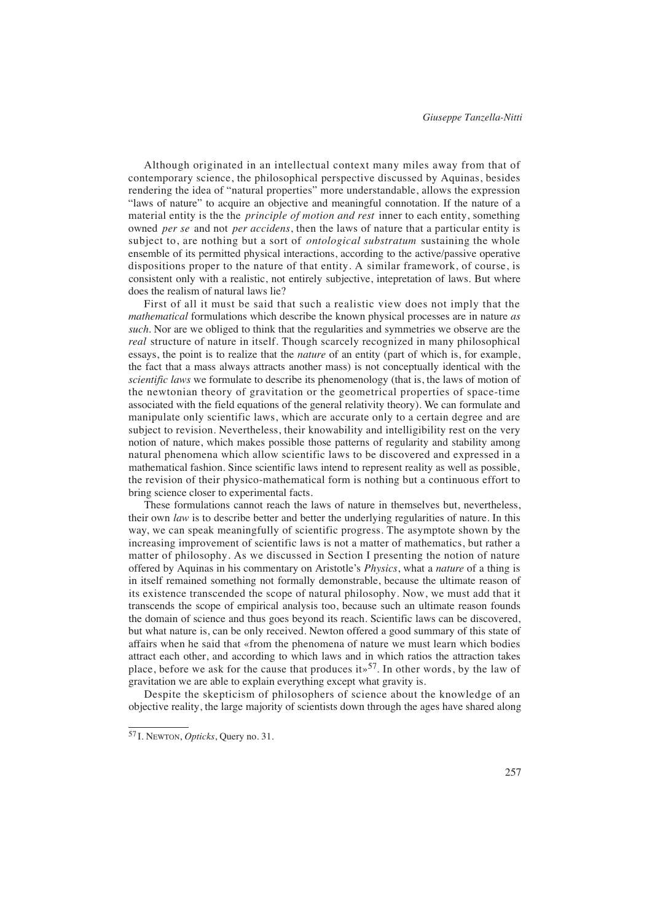Although originated in an intellectual context many miles away from that of contemporary science, the philosophical perspective discussed by Aquinas, besides rendering the idea of "natural properties" more understandable, allows the expression "laws of nature" to acquire an objective and meaningful connotation. If the nature of a material entity is the the *principle of motion and rest* inner to each entity, something owned *per se* and not *per accidens*, then the laws of nature that a particular entity is subject to, are nothing but a sort of *ontological substratum* sustaining the whole ensemble of its permitted physical interactions, according to the active/passive operative dispositions proper to the nature of that entity. A similar framework, of course, is consistent only with a realistic, not entirely subjective, intepretation of laws. But where does the realism of natural laws lie?

First of all it must be said that such a realistic view does not imply that the *mathematical* formulations which describe the known physical processes are in nature *as such*. Nor are we obliged to think that the regularities and symmetries we observe are the *real* structure of nature in itself. Though scarcely recognized in many philosophical essays, the point is to realize that the *nature* of an entity (part of which is, for example, the fact that a mass always attracts another mass) is not conceptually identical with the *scientific laws* we formulate to describe its phenomenology (that is, the laws of motion of the newtonian theory of gravitation or the geometrical properties of space-time associated with the field equations of the general relativity theory). We can formulate and manipulate only scientific laws, which are accurate only to a certain degree and are subject to revision. Nevertheless, their knowability and intelligibility rest on the very notion of nature, which makes possible those patterns of regularity and stability among natural phenomena which allow scientific laws to be discovered and expressed in a mathematical fashion. Since scientific laws intend to represent reality as well as possible, the revision of their physico-mathematical form is nothing but a continuous effort to bring science closer to experimental facts.

These formulations cannot reach the laws of nature in themselves but, nevertheless, their own *law* is to describe better and better the underlying regularities of nature. In this way, we can speak meaningfully of scientific progress. The asymptote shown by the increasing improvement of scientific laws is not a matter of mathematics, but rather a matter of philosophy. As we discussed in Section I presenting the notion of nature offered by Aquinas in his commentary on Aristotle's *Physics*, what a *nature* of a thing is in itself remained something not formally demonstrable, because the ultimate reason of its existence transcended the scope of natural philosophy. Now, we must add that it transcends the scope of empirical analysis too, because such an ultimate reason founds the domain of science and thus goes beyond its reach. Scientific laws can be discovered, but what nature is, can be only received. Newton offered a good summary of this state of a ffairs when he said that «from the phenomena of nature we must learn which bodies attract each other, and according to which laws and in which ratios the attraction takes place, before we ask for the cause that produces its <sup>57</sup>. In other words, by the law of gravitation we are able to explain everything except what gravity is.

Despite the skepticism of philosophers of science about the knowledge of an objective reality, the large majority of scientists down through the ages have shared along

<sup>57</sup> I. NEWTON, *Opticks*, Query no. 31.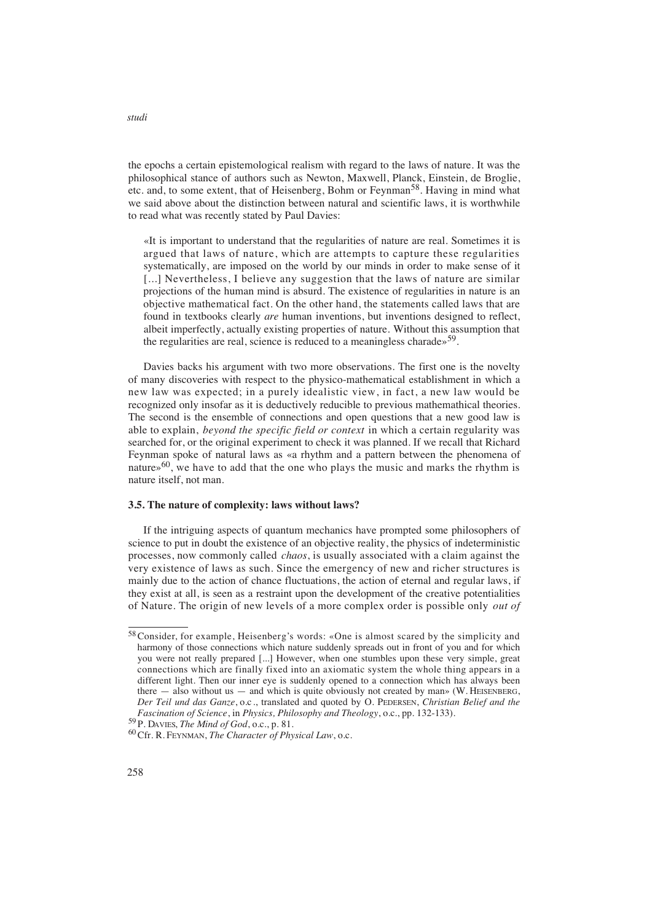the epochs a certain epistemological realism with regard to the laws of nature. It was the philosophical stance of authors such as Newton, Maxwell, Planck, Einstein, de Broglie, etc. and, to some extent, that of Heisenberg, Bohm or Feynman<sup>58</sup>. Having in mind what we said above about the distinction between natural and scientific laws, it is worthwhile to read what was recently stated by Paul Davies:

«It is important to understand that the regularities of nature are real. Sometimes it is argued that laws of nature, which are attempts to capture these regularities systematically, are imposed on the world by our minds in order to make sense of it [...] Nevertheless, I believe any suggestion that the laws of nature are similar projections of the human mind is absurd. The existence of regularities in nature is an objective mathematical fact. On the other hand, the statements called laws that are found in textbooks clearly *are* human inventions, but inventions designed to reflect, albeit imperfectly, actually existing properties of nature. Without this assumption that the regularities are real, science is reduced to a meaningless charade»59.

Davies backs his argument with two more observations. The first one is the novelty of many discoveries with respect to the physico-mathematical establishment in which a new law was expected; in a purely idealistic view, in fact, a new law would be recognized only insofar as it is deductively reducible to previous mathemathical theories. The second is the ensemble of connections and open questions that a new good law is able to explain, *beyond the specific field or context* in which a certain regularity was searched for, or the original experiment to check it was planned. If we recall that Richard Feynman spoke of natural laws as «a rhythm and a pattern between the phenomena of nature» $60$ , we have to add that the one who plays the music and marks the rhythm is nature itself, not man.

#### **3.5. The nature of complexity: laws without laws?**

If the intriguing aspects of quantum mechanics have prompted some philosophers of science to put in doubt the existence of an objective reality, the physics of indeterministic processes, now commonly called *chaos*, is usually associated with a claim against the very existence of laws as such. Since the emergency of new and richer structures is mainly due to the action of chance fluctuations, the action of eternal and regular laws, if they exist at all, is seen as a restraint upon the development of the creative potentialities of Nature. The origin of new levels of a more complex order is possible only *out of*

<sup>&</sup>lt;sup>58</sup> Consider, for example, Heisenberg's words: «One is almost scared by the simplicity and harmony of those connections which nature suddenly spreads out in front of you and for which you were not really prepared [...] However, when one stumbles upon these very simple, great connections which are finally fixed into an axiomatic system the whole thing appears in a different light. Then our inner eye is suddenly opened to a connection which has always been there  $-$  also without us  $-$  and which is quite obviously not created by man» (W. HEISENBERG, *Der Teil und das Ganze*, o.c*.*, translated and quoted by O. PEDERSEN, *Christian Belief and the Fascination of Science*, in *Physics, Philosophy and Theology*, o.c*.*, pp. 132-133).

<sup>59</sup> P. DAVIES, *The Mind of God*, o.c*.*, p. 81.

<sup>60</sup>Cfr. R. FEYNMAN, *The Character of Physical Law*, o.c.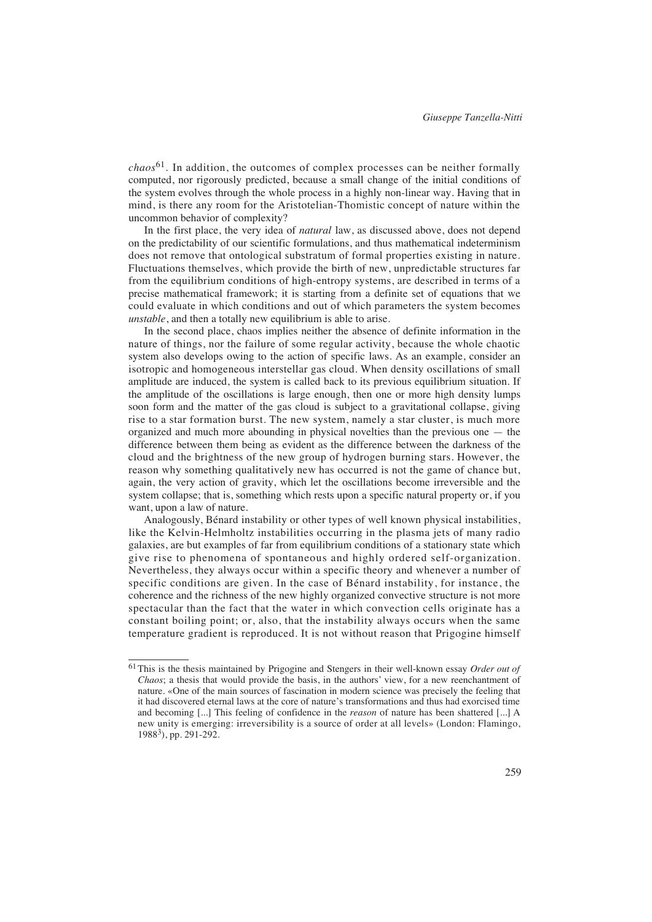$chaos<sup>61</sup>$ . In addition, the outcomes of complex processes can be neither formally computed, nor rigorously predicted, because a small change of the initial conditions of the system evolves through the whole process in a highly non-linear way. Having that in mind, is there any room for the Aristotelian-Thomistic concept of nature within the uncommon behavior of complexity?

In the first place, the very idea of *natural* law, as discussed above, does not depend on the predictability of our scientific formulations, and thus mathematical indeterminism does not remove that ontological substratum of formal properties existing in nature. Fluctuations themselves, which provide the birth of new, unpredictable structures far from the equilibrium conditions of high-entropy systems, are described in terms of a precise mathematical framework; it is starting from a definite set of equations that we could evaluate in which conditions and out of which parameters the system becomes *unstable*, and then a totally new equilibrium is able to arise.

In the second place, chaos implies neither the absence of definite information in the nature of things, nor the failure of some regular activity, because the whole chaotic system also develops owing to the action of specific laws. As an example, consider an isotropic and homogeneous interstellar gas cloud. When density oscillations of small amplitude are induced, the system is called back to its previous equilibrium situation. If the amplitude of the oscillations is large enough, then one or more high density lumps soon form and the matter of the gas cloud is subject to a gravitational collapse, giving rise to a star formation burst. The new system, namely a star cluster, is much more organized and much more abounding in physical novelties than the previous one — the difference between them being as evident as the difference between the darkness of the cloud and the brightness of the new group of hydrogen burning stars. However, the reason why something qualitatively new has occurred is not the game of chance but, again, the very action of gravity, which let the oscillations become irreversible and the system collapse; that is, something which rests upon a specific natural property or, if you want, upon a law of nature.

Analogously, Bénard instability or other types of well known physical instabilities, like the Kelvin-Helmholtz instabilities occurring in the plasma jets of many radio galaxies, are but examples of far from equilibrium conditions of a stationary state which give rise to phenomena of spontaneous and highly ordered self-organization. Nevertheless, they always occur within a specific theory and whenever a number of specific conditions are given. In the case of Bénard instability, for instance, the coherence and the richness of the new highly organized convective structure is not more spectacular than the fact that the water in which convection cells originate has a constant boiling point; or, also, that the instability always occurs when the same temperature gradient is reproduced. It is not without reason that Prigogine himself

<sup>61</sup>This is the thesis maintained by Prigogine and Stengers in their well-known essay *Order out of Chaos*; a thesis that would provide the basis, in the authors' view, for a new reenchantment of nature. «One of the main sources of fascination in modern science was precisely the feeling that it had discovered eternal laws at the core of nature's transformations and thus had exorcised time and becoming [...] This feeling of confidence in the *reason* of nature has been shattered [...] A new unity is emerging: irreversibility is a source of order at all levels» (London: Flamingo, 19883), pp. 291-292.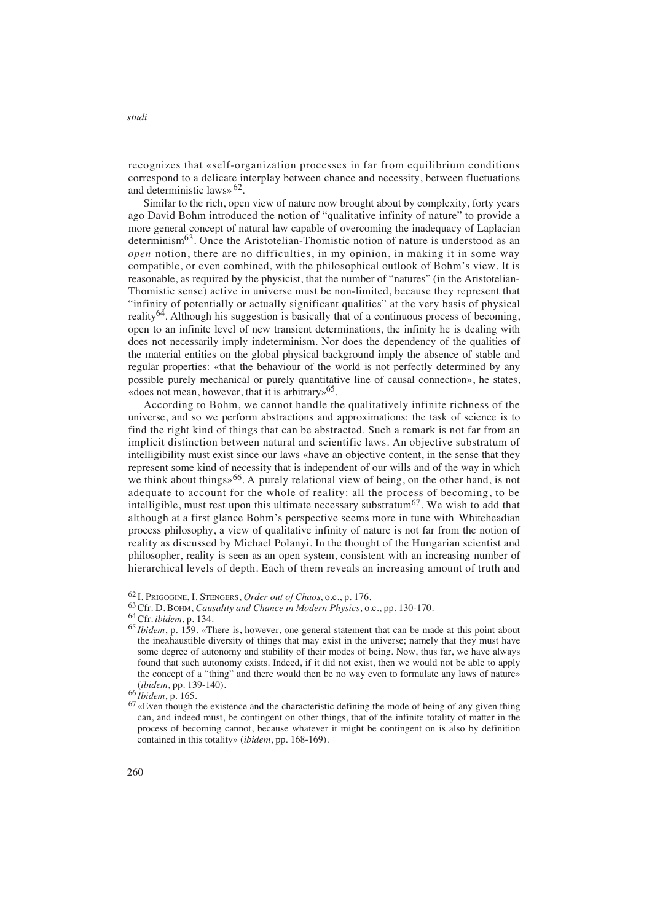recognizes that «self-organization processes in far from equilibrium conditions correspond to a delicate interplay between chance and necessity, between fluctuations and deterministic laws» $62$ .

Similar to the rich, open view of nature now brought about by complexity, forty years ago David Bohm introduced the notion of "qualitative infinity of nature" to provide a more general concept of natural law capable of overcoming the inadequacy of Laplacian determinism<sup>63</sup>. Once the Aristotelian-Thomistic notion of nature is understood as an *open* notion, there are no difficulties, in my opinion, in making it in some way compatible, or even combined, with the philosophical outlook of Bohm's view. It is reasonable, as required by the physicist, that the number of "natures" (in the Aristotelian-Thomistic sense) active in universe must be non-limited, because they represent that "infinity of potentially or actually significant qualities" at the very basis of physical reality<sup>64</sup>. Although his suggestion is basically that of a continuous process of becoming, open to an infinite level of new transient determinations, the infinity he is dealing with does not necessarily imply indeterminism. Nor does the dependency of the qualities of the material entities on the global physical background imply the absence of stable and regular properties: «that the behaviour of the world is not perfectly determined by any possible purely mechanical or purely quantitative line of causal connection», he states, «does not mean, however, that it is arbitrary»65.

According to Bohm, we cannot handle the qualitatively infinite richness of the universe, and so we perform abstractions and approximations: the task of science is to find the right kind of things that can be abstracted. Such a remark is not far from an implicit distinction between natural and scientific laws. An objective substratum of intelligibility must exist since our laws «have an objective content, in the sense that they represent some kind of necessity that is independent of our wills and of the way in which we think about things»<sup>66</sup>. A purely relational view of being, on the other hand, is not adequate to account for the whole of reality: all the process of becoming, to be intelligible, must rest upon this ultimate necessary substratum<sup>67</sup>. We wish to add that although at a first glance Bohm's perspective seems more in tune with Whiteheadian process philosophy, a view of qualitative infinity of nature is not far from the notion of reality as discussed by Michael Polanyi. In the thought of the Hungarian scientist and philosopher, reality is seen as an open system, consistent with an increasing number of hierarchical levels of depth. Each of them reveals an increasing amount of truth and

<sup>62</sup> I. PRIGOGINE, I. STENGERS, *Order out of Chaos*, o.c*.*, p. 176.

<sup>63</sup>Cfr. D. BOHM, *Causality and Chance in Modern Physics*, o.c*.*, pp. 130-170.

<sup>64</sup>Cfr. *ibidem*, p. 134.

<sup>65</sup> *Ibidem*, p. 159. «There is, however, one general statement that can be made at this point about the inexhaustible diversity of things that may exist in the universe; namely that they must have some degree of autonomy and stability of their modes of being. Now, thus far, we have always found that such autonomy exists. Indeed, if it did not exist, then we would not be able to apply the concept of a "thing" and there would then be no way even to formulate any laws of nature» (*ibidem*, pp. 139-140).

<sup>66</sup> *Ibidem*, p. 165.

<sup>&</sup>lt;sup>67</sup> «Even though the existence and the characteristic defining the mode of being of any given thing can, and indeed must, be contingent on other things, that of the infinite totality of matter in the process of becoming cannot, because whatever it might be contingent on is also by definition contained in this totality» (*ibidem*, pp. 168-169).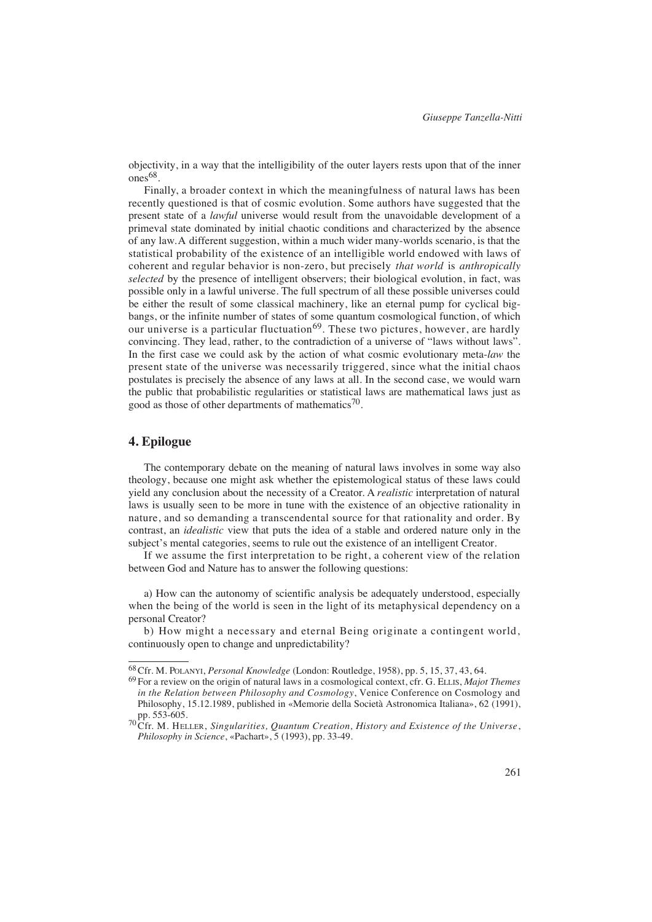objectivity, in a way that the intelligibility of the outer layers rests upon that of the inner ones<sup>68</sup>.

Finally, a broader context in which the meaningfulness of natural laws has been recently questioned is that of cosmic evolution. Some authors have suggested that the present state of a *lawful* universe would result from the unavoidable development of a primeval state dominated by initial chaotic conditions and characterized by the absence of any law.A different suggestion, within a much wider many-worlds scenario, is that the statistical probability of the existence of an intelligible world endowed with laws of coherent and regular behavior is non-zero, but precisely *that world* is *anthropically selected* by the presence of intelligent observers; their biological evolution, in fact, was possible only in a lawful universe. The full spectrum of all these possible universes could be either the result of some classical machinery, like an eternal pump for cyclical bigbangs, or the infinite number of states of some quantum cosmological function, of which our universe is a particular fluctuation<sup>69</sup>. These two pictures, however, are hardly convincing. They lead, rather, to the contradiction of a universe of "laws without laws". In the first case we could ask by the action of what cosmic evolutionary meta-*law* the present state of the universe was necessarily triggered, since what the initial chaos postulates is precisely the absence of any laws at all. In the second case, we would warn the public that probabilistic regularities or statistical laws are mathematical laws just as good as those of other departments of mathematics<sup>70</sup>.

## **4. Epilogue**

The contemporary debate on the meaning of natural laws involves in some way also theology, because one might ask whether the epistemological status of these laws could yield any conclusion about the necessity of a Creator. A *realistic* interpretation of natural laws is usually seen to be more in tune with the existence of an objective rationality in nature, and so demanding a transcendental source for that rationality and order. By contrast, an *idealistic* view that puts the idea of a stable and ordered nature only in the subject's mental categories, seems to rule out the existence of an intelligent Creator.

If we assume the first interpretation to be right, a coherent view of the relation between God and Nature has to answer the following questions:

a) How can the autonomy of scientific analysis be adequately understood, especially when the being of the world is seen in the light of its metaphysical dependency on a personal Creator?

b) How might a necessary and eternal Being originate a contingent world, continuously open to change and unpredictability?

<sup>68</sup>Cfr. M. POLANYI, *Personal Knowledge* (London: Routledge, 1958), pp. 5, 15, 37, 43, 64.

<sup>69</sup> For a review on the origin of natural laws in a cosmological context, cfr. G. ELLIS, *Majot Themes in the Relation between Philosophy and Cosmology*, Venice Conference on Cosmology and Philosophy, 15.12.1989, published in «Memorie della Società Astronomica Italiana», 62 (1991), pp. 553-605.

 $^{70}$ Cfr. M. HELLER, *Singularities, Quantum Creation, History and Existence of the Universe*, *Philosophy in Science*, «Pachart», 5 (1993), pp. 33-49.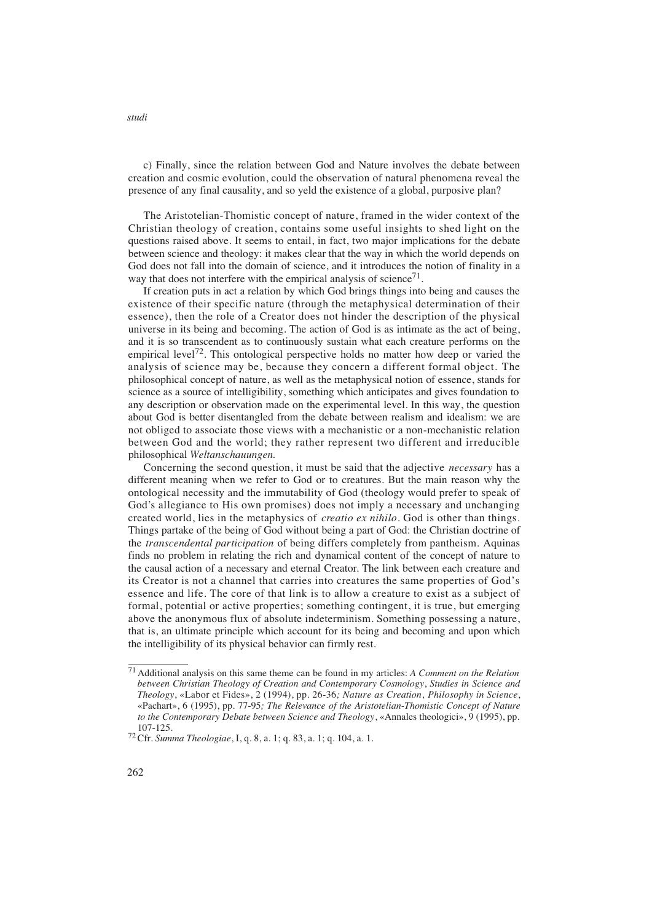c) Finally, since the relation between God and Nature involves the debate between creation and cosmic evolution, could the observation of natural phenomena reveal the presence of any final causality, and so yeld the existence of a global, purposive plan?

The Aristotelian-Thomistic concept of nature, framed in the wider context of the Christian theology of creation, contains some useful insights to shed light on the questions raised above. It seems to entail, in fact, two major implications for the debate between science and theology: it makes clear that the way in which the world depends on God does not fall into the domain of science, and it introduces the notion of finality in a way that does not interfere with the empirical analysis of science<sup>71</sup>.

If creation puts in act a relation by which God brings things into being and causes the existence of their specific nature (through the metaphysical determination of their essence), then the role of a Creator does not hinder the description of the physical universe in its being and becoming. The action of God is as intimate as the act of being, and it is so transcendent as to continuously sustain what each creature performs on the empirical level<sup>72</sup>. This ontological perspective holds no matter how deep or varied the analysis of science may be, because they concern a different formal object. The philosophical concept of nature, as well as the metaphysical notion of essence, stands for science as a source of intelligibility, something which anticipates and gives foundation to any description or observation made on the experimental level. In this way, the question about God is better disentangled from the debate between realism and idealism: we are not obliged to associate those views with a mechanistic or a non-mechanistic relation between God and the world; they rather represent two different and irreducible philosophical *Weltanschauungen*.

Concerning the second question, it must be said that the adjective *necessary* has a different meaning when we refer to God or to creatures. But the main reason why the ontological necessity and the immutability of God (theology would prefer to speak of God's allegiance to His own promises) does not imply a necessary and unchanging created world, lies in the metaphysics of *creatio ex nihilo*. God is other than things. Things partake of the being of God without being a part of God: the Christian doctrine of the *transcendental participation* of being differs completely from pantheism. Aquinas finds no problem in relating the rich and dynamical content of the concept of nature to the causal action of a necessary and eternal Creator. The link between each creature and its Creator is not a channel that carries into creatures the same properties of God's essence and life. The core of that link is to allow a creature to exist as a subject of formal, potential or active properties; something contingent, it is true, but emerging above the anonymous flux of absolute indeterminism. Something possessing a nature, that is, an ultimate principle which account for its being and becoming and upon which the intelligibility of its physical behavior can firmly rest.

<sup>71</sup> Additional analysis on this same theme can be found in my articles: *A Comment on the Relation between Christian Theology of Creation and Contemporary Cosmology*, *Studies in Science and Theology*, «Labor et Fides», 2 (1994), pp. 26-36; Nature as Creation, Philosophy in Science, «Pachart», 6 (1995), pp. 77-95*; The Relevance of the Aristotelian-Thomistic Concept of Nature to the Contemporary Debate between Science and Theology*, «Annales theologici», 9 (1995), pp. 107-125.

<sup>72</sup>Cfr. *Summa Theologiae*, I, q. 8, a. 1; q. 83, a. 1; q. 104, a. 1.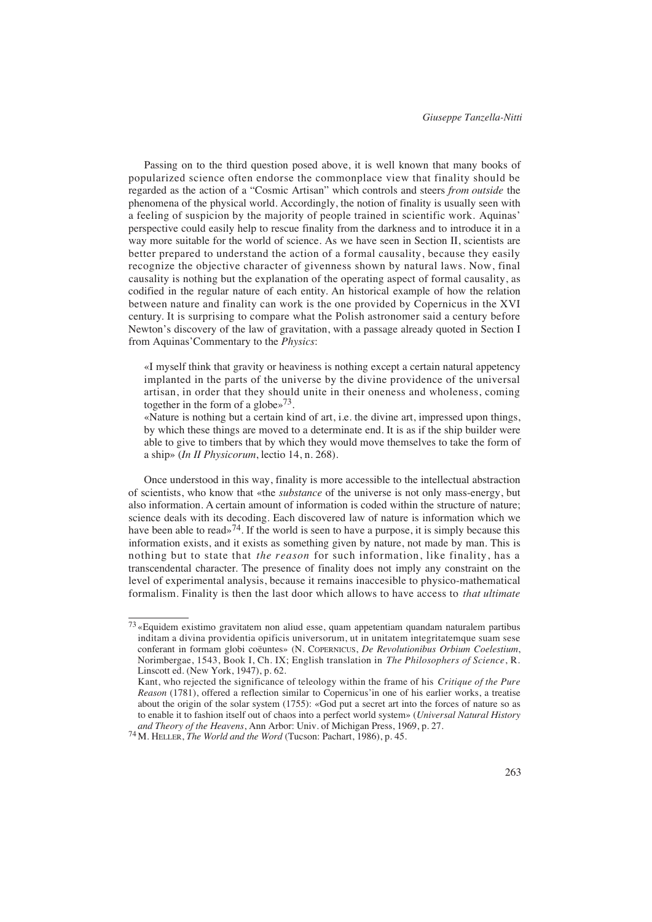Passing on to the third question posed above, it is well known that many books of popularized science often endorse the commonplace view that finality should be regarded as the action of a "Cosmic Artisan" which controls and steers *from outside* the phenomena of the physical world. Accordingly, the notion of finality is usually seen with a feeling of suspicion by the majority of people trained in scientific work. Aguinas' perspective could easily help to rescue finality from the darkness and to introduce it in a way more suitable for the world of science. As we have seen in Section II, scientists are better prepared to understand the action of a formal causality, because they easily recognize the objective character of givenness shown by natural laws. Now, final causality is nothing but the explanation of the operating aspect of formal causality, as codified in the regular nature of each entity. An historical example of how the relation between nature and finality can work is the one provided by Copernicus in the XVI century. It is surprising to compare what the Polish astronomer said a century before Newton's discovery of the law of gravitation, with a passage already quoted in Section I from Aquinas'Commentary to the *Physics*:

«I myself think that gravity or heaviness is nothing except a certain natural appetency implanted in the parts of the universe by the divine providence of the universal artisan, in order that they should unite in their oneness and wholeness, coming together in the form of a globe»73.

«Nature is nothing but a certain kind of art, i.e. the divine art, impressed upon things, by which these things are moved to a determinate end. It is as if the ship builder were able to give to timbers that by which they would move themselves to take the form of a ship» (*In II Physicorum*, lectio 14, n. 268).

Once understood in this way, finality is more accessible to the intellectual abstraction of scientists, who know that «the *substance* of the universe is not only mass-energy, but also information. A certain amount of information is coded within the structure of nature; science deals with its decoding. Each discovered law of nature is information which we have been able to read»<sup>74</sup>. If the world is seen to have a purpose, it is simply because this information exists, and it exists as something given by nature, not made by man. This is nothing but to state that *the reason* for such information, like finality, has a transcendental character. The presence of finality does not imply any constraint on the level of experimental analysis, because it remains inaccesible to physico-mathematical formalism. Finality is then the last door which allows to have access to *that ultimate*

<sup>73</sup> «Equidem existimo gravitatem non aliud esse, quam appetentiam quandam naturalem partibus inditam a divina providentia opificis universorum, ut in unitatem integritatemque suam sese conferant in formam globi coëuntes» (N. COPERNICUS, *De Revolutionibus Orbium Coelestium*, Norimbergae, 1543, Book I, Ch. IX; English translation in *The Philosophers of Science*, R. Linscott ed. (New York, 1947), p. 62.

Kant, who rejected the significance of teleology within the frame of his *Critique of the Pure Reason* (1781), offered a reflection similar to Copernicus'in one of his earlier works, a treatise about the origin of the solar system (1755): «God put a secret art into the forces of nature so as to enable it to fashion itself out of chaos into a perfect world system» (*Universal Natural History and Theory of the Heavens*, Ann Arbor: Univ. of Michigan Press, 1969, p. 27.

<sup>74</sup>M. HELLER, *The World and the Word* (Tucson: Pachart, 1986), p. 45.